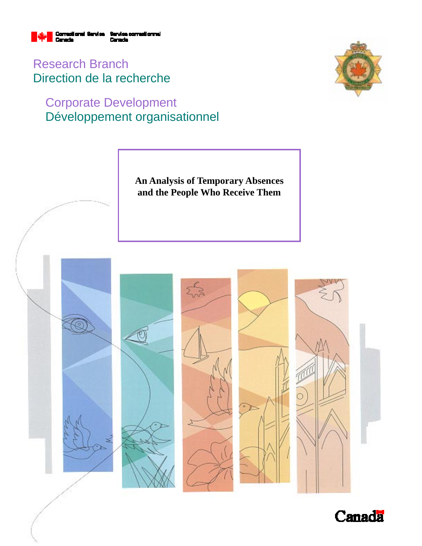

Research Branch Direction de la recherche

# Corporate Development Développement organisationnel





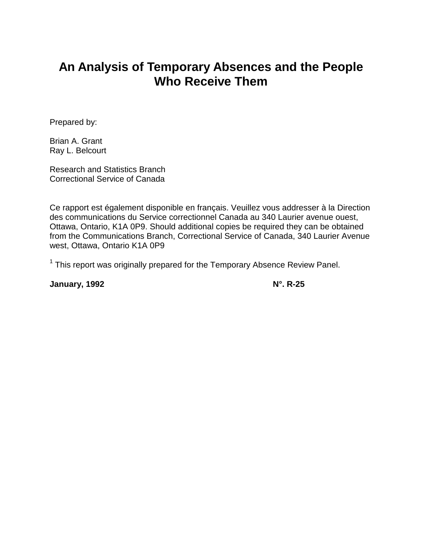# **An Analysis of Temporary Absences and the People Who Receive Them**

Prepared by:

Brian A. Grant Ray L. Belcourt

Research and Statistics Branch Correctional Service of Canada

Ce rapport est également disponible en français. Veuillez vous addresser à la Direction des communications du Service correctionnel Canada au 340 Laurier avenue ouest, Ottawa, Ontario, K1A 0P9. Should additional copies be required they can be obtained from the Communications Branch, Correctional Service of Canada, 340 Laurier Avenue west, Ottawa, Ontario K1A 0P9

 $1$  This report was originally prepared for the Temporary Absence Review Panel.

**January, 1992 N°.** R-25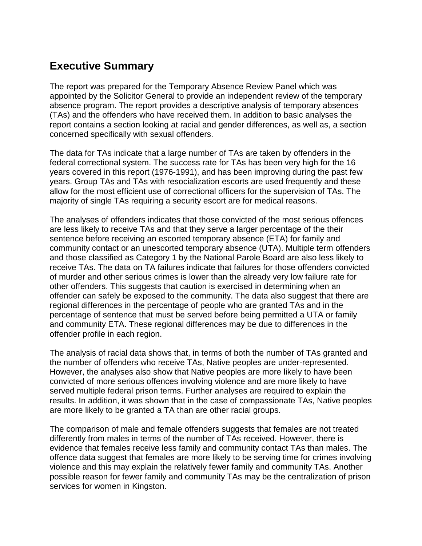## **Executive Summary**

The report was prepared for the Temporary Absence Review Panel which was appointed by the Solicitor General to provide an independent review of the temporary absence program. The report provides a descriptive analysis of temporary absences (TAs) and the offenders who have received them. In addition to basic analyses the report contains a section looking at racial and gender differences, as well as, a section concerned specifically with sexual offenders.

The data for TAs indicate that a large number of TAs are taken by offenders in the federal correctional system. The success rate for TAs has been very high for the 16 years covered in this report (1976-1991), and has been improving during the past few years. Group TAs and TAs with resocialization escorts are used frequently and these allow for the most efficient use of correctional officers for the supervision of TAs. The majority of single TAs requiring a security escort are for medical reasons.

The analyses of offenders indicates that those convicted of the most serious offences are less likely to receive TAs and that they serve a larger percentage of the their sentence before receiving an escorted temporary absence (ETA) for family and community contact or an unescorted temporary absence (UTA). Multiple term offenders and those classified as Category 1 by the National Parole Board are also less likely to receive TAs. The data on TA failures indicate that failures for those offenders convicted of murder and other serious crimes is lower than the already very low failure rate for other offenders. This suggests that caution is exercised in determining when an offender can safely be exposed to the community. The data also suggest that there are regional differences in the percentage of people who are granted TAs and in the percentage of sentence that must be served before being permitted a UTA or family and community ETA. These regional differences may be due to differences in the offender profile in each region.

The analysis of racial data shows that, in terms of both the number of TAs granted and the number of offenders who receive TAs, Native peoples are under-represented. However, the analyses also show that Native peoples are more likely to have been convicted of more serious offences involving violence and are more likely to have served multiple federal prison terms. Further analyses are required to explain the results. In addition, it was shown that in the case of compassionate TAs, Native peoples are more likely to be granted a TA than are other racial groups.

The comparison of male and female offenders suggests that females are not treated differently from males in terms of the number of TAs received. However, there is evidence that females receive less family and community contact TAs than males. The offence data suggest that females are more likely to be serving time for crimes involving violence and this may explain the relatively fewer family and community TAs. Another possible reason for fewer family and community TAs may be the centralization of prison services for women in Kingston.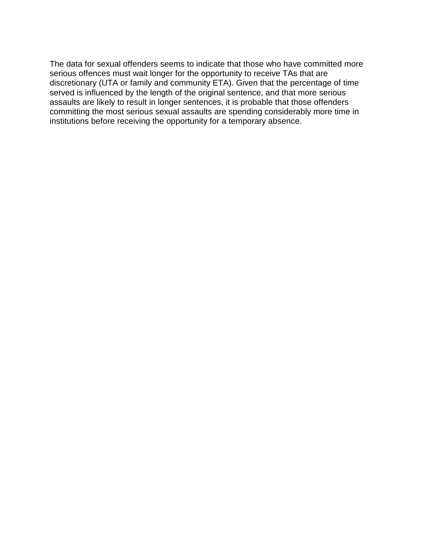The data for sexual offenders seems to indicate that those who have committed more serious offences must wait longer for the opportunity to receive TAs that are discretionary (UTA or family and community ETA). Given that the percentage of time served is influenced by the length of the original sentence, and that more serious assaults are likely to result in longer sentences, it is probable that those offenders committing the most serious sexual assaults are spending considerably more time in institutions before receiving the opportunity for a temporary absence.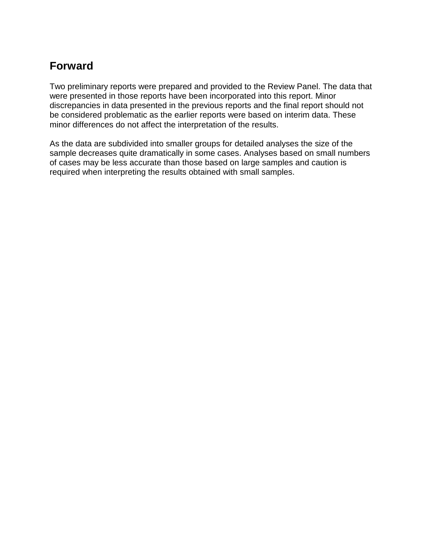## **Forward**

Two preliminary reports were prepared and provided to the Review Panel. The data that were presented in those reports have been incorporated into this report. Minor discrepancies in data presented in the previous reports and the final report should not be considered problematic as the earlier reports were based on interim data. These minor differences do not affect the interpretation of the results.

As the data are subdivided into smaller groups for detailed analyses the size of the sample decreases quite dramatically in some cases. Analyses based on small numbers of cases may be less accurate than those based on large samples and caution is required when interpreting the results obtained with small samples.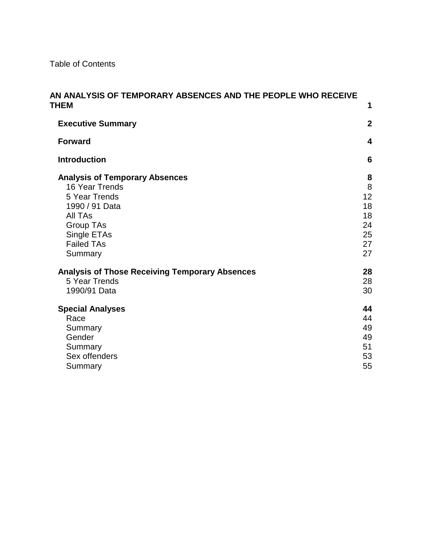Table of Contents

| AN ANALYSIS OF TEMPORARY ABSENCES AND THE PEOPLE WHO RECEIVE<br><b>THEM</b>                                                                                       | 1                                                |
|-------------------------------------------------------------------------------------------------------------------------------------------------------------------|--------------------------------------------------|
| <b>Executive Summary</b>                                                                                                                                          | $\mathbf{2}$                                     |
| <b>Forward</b>                                                                                                                                                    | $\overline{\mathbf{4}}$                          |
| <b>Introduction</b>                                                                                                                                               | $6\phantom{1}6$                                  |
| <b>Analysis of Temporary Absences</b><br>16 Year Trends<br>5 Year Trends<br>1990 / 91 Data<br>All TAs<br>Group TAs<br>Single ETAs<br><b>Failed TAs</b><br>Summary | 8<br>8<br>12<br>18<br>18<br>24<br>25<br>27<br>27 |
| <b>Analysis of Those Receiving Temporary Absences</b><br>5 Year Trends<br>1990/91 Data                                                                            | 28<br>28<br>30                                   |
| <b>Special Analyses</b><br>Race<br>Summary<br>Gender<br>Summary<br>Sex offenders<br>Summary                                                                       | 44<br>44<br>49<br>49<br>51<br>53<br>55           |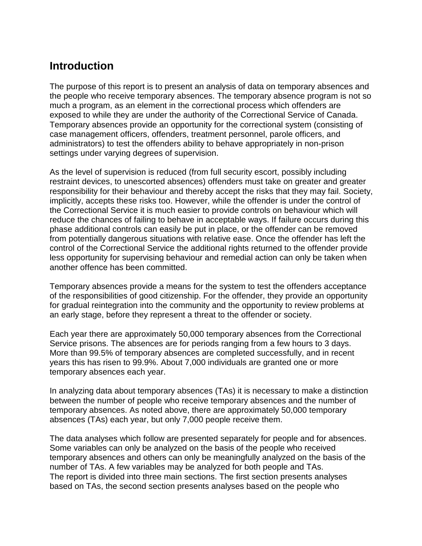## **Introduction**

The purpose of this report is to present an analysis of data on temporary absences and the people who receive temporary absences. The temporary absence program is not so much a program, as an element in the correctional process which offenders are exposed to while they are under the authority of the Correctional Service of Canada. Temporary absences provide an opportunity for the correctional system (consisting of case management officers, offenders, treatment personnel, parole officers, and administrators) to test the offenders ability to behave appropriately in non-prison settings under varying degrees of supervision.

As the level of supervision is reduced (from full security escort, possibly including restraint devices, to unescorted absences) offenders must take on greater and greater responsibility for their behaviour and thereby accept the risks that they may fail. Society, implicitly, accepts these risks too. However, while the offender is under the control of the Correctional Service it is much easier to provide controls on behaviour which will reduce the chances of failing to behave in acceptable ways. If failure occurs during this phase additional controls can easily be put in place, or the offender can be removed from potentially dangerous situations with relative ease. Once the offender has left the control of the Correctional Service the additional rights returned to the offender provide less opportunity for supervising behaviour and remedial action can only be taken when another offence has been committed.

Temporary absences provide a means for the system to test the offenders acceptance of the responsibilities of good citizenship. For the offender, they provide an opportunity for gradual reintegration into the community and the opportunity to review problems at an early stage, before they represent a threat to the offender or society.

Each year there are approximately 50,000 temporary absences from the Correctional Service prisons. The absences are for periods ranging from a few hours to 3 days. More than 99.5% of temporary absences are completed successfully, and in recent years this has risen to 99.9%. About 7,000 individuals are granted one or more temporary absences each year.

In analyzing data about temporary absences (TAs) it is necessary to make a distinction between the number of people who receive temporary absences and the number of temporary absences. As noted above, there are approximately 50,000 temporary absences (TAs) each year, but only 7,000 people receive them.

The data analyses which follow are presented separately for people and for absences. Some variables can only be analyzed on the basis of the people who received temporary absences and others can only be meaningfully analyzed on the basis of the number of TAs. A few variables may be analyzed for both people and TAs. The report is divided into three main sections. The first section presents analyses based on TAs, the second section presents analyses based on the people who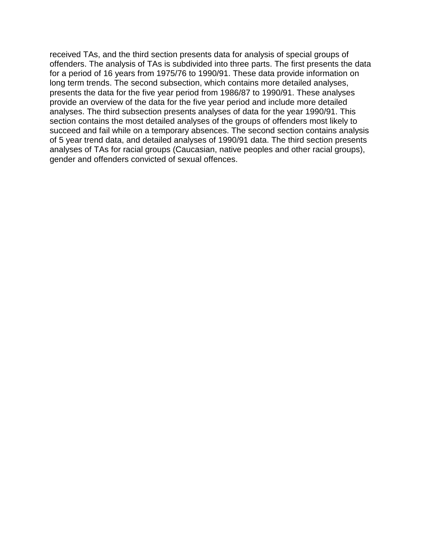received TAs, and the third section presents data for analysis of special groups of offenders. The analysis of TAs is subdivided into three parts. The first presents the data for a period of 16 years from 1975/76 to 1990/91. These data provide information on long term trends. The second subsection, which contains more detailed analyses, presents the data for the five year period from 1986/87 to 1990/91. These analyses provide an overview of the data for the five year period and include more detailed analyses. The third subsection presents analyses of data for the year 1990/91. This section contains the most detailed analyses of the groups of offenders most likely to succeed and fail while on a temporary absences. The second section contains analysis of 5 year trend data, and detailed analyses of 1990/91 data. The third section presents analyses of TAs for racial groups (Caucasian, native peoples and other racial groups), gender and offenders convicted of sexual offences.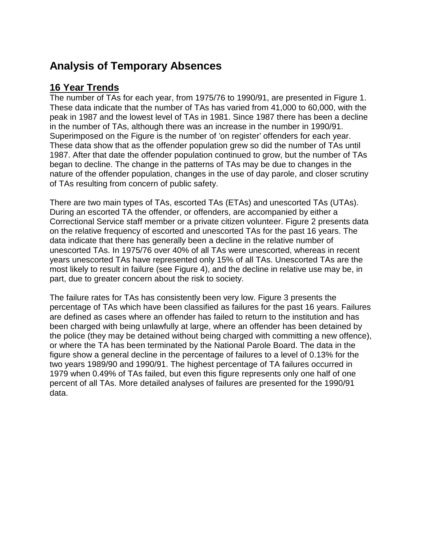# **Analysis of Temporary Absences**

## **16 Year Trends**

The number of TAs for each year, from 1975/76 to 1990/91, are presented in Figure 1. These data indicate that the number of TAs has varied from 41,000 to 60,000, with the peak in 1987 and the lowest level of TAs in 1981. Since 1987 there has been a decline in the number of TAs, although there was an increase in the number in 1990/91. Superimposed on the Figure is the number of 'on register' offenders for each year. These data show that as the offender population grew so did the number of TAs until 1987. After that date the offender population continued to grow, but the number of TAs began to decline. The change in the patterns of TAs may be due to changes in the nature of the offender population, changes in the use of day parole, and closer scrutiny of TAs resulting from concern of public safety.

There are two main types of TAs, escorted TAs (ETAs) and unescorted TAs (UTAs). During an escorted TA the offender, or offenders, are accompanied by either a Correctional Service staff member or a private citizen volunteer. Figure 2 presents data on the relative frequency of escorted and unescorted TAs for the past 16 years. The data indicate that there has generally been a decline in the relative number of unescorted TAs. In 1975/76 over 40% of all TAs were unescorted, whereas in recent years unescorted TAs have represented only 15% of all TAs. Unescorted TAs are the most likely to result in failure (see Figure 4), and the decline in relative use may be, in part, due to greater concern about the risk to society.

The failure rates for TAs has consistently been very low. Figure 3 presents the percentage of TAs which have been classified as failures for the past 16 years. Failures are defined as cases where an offender has failed to return to the institution and has been charged with being unlawfully at large, where an offender has been detained by the police (they may be detained without being charged with committing a new offence), or where the TA has been terminated by the National Parole Board. The data in the figure show a general decline in the percentage of failures to a level of 0.13% for the two years 1989/90 and 1990/91. The highest percentage of TA failures occurred in 1979 when 0.49% of TAs failed, but even this figure represents only one half of one percent of all TAs. More detailed analyses of failures are presented for the 1990/91 data.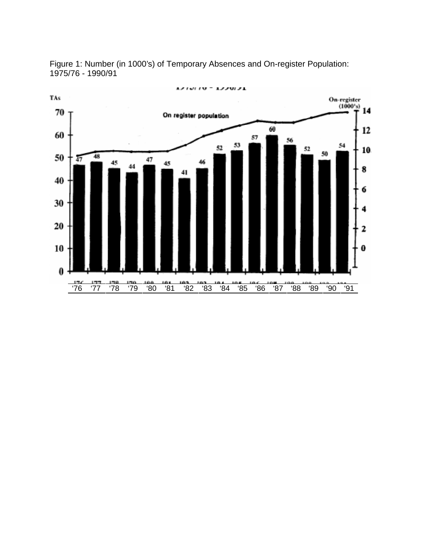Figure 1: Number (in 1000's) of Temporary Absences and On-register Population: 1975/76 - 1990/91

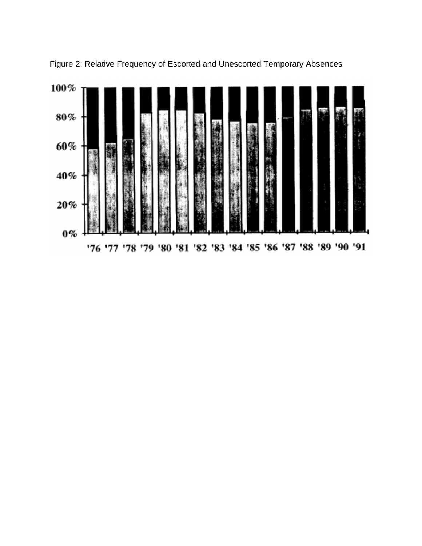

Figure 2: Relative Frequency of Escorted and Unescorted Temporary Absences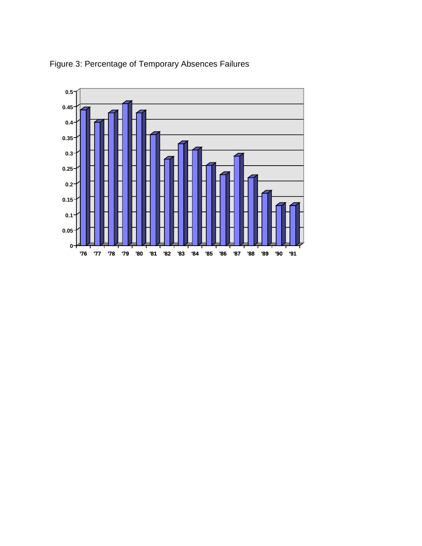

Figure 3: Percentage of Temporary Absences Failures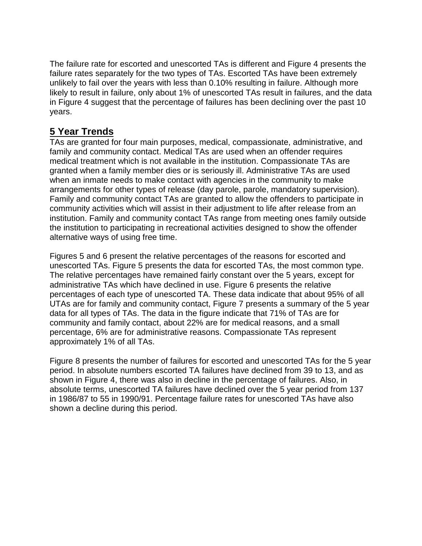The failure rate for escorted and unescorted TAs is different and Figure 4 presents the failure rates separately for the two types of TAs. Escorted TAs have been extremely unlikely to fail over the years with less than 0.10% resulting in failure. Although more likely to result in failure, only about 1% of unescorted TAs result in failures, and the data in Figure 4 suggest that the percentage of failures has been declining over the past 10 years.

## **5 Year Trends**

TAs are granted for four main purposes, medical, compassionate, administrative, and family and community contact. Medical TAs are used when an offender requires medical treatment which is not available in the institution. Compassionate TAs are granted when a family member dies or is seriously ill. Administrative TAs are used when an inmate needs to make contact with agencies in the community to make arrangements for other types of release (day parole, parole, mandatory supervision). Family and community contact TAs are granted to allow the offenders to participate in community activities which will assist in their adjustment to life after release from an institution. Family and community contact TAs range from meeting ones family outside the institution to participating in recreational activities designed to show the offender alternative ways of using free time.

Figures 5 and 6 present the relative percentages of the reasons for escorted and unescorted TAs. Figure 5 presents the data for escorted TAs, the most common type. The relative percentages have remained fairly constant over the 5 years, except for administrative TAs which have declined in use. Figure 6 presents the relative percentages of each type of unescorted TA. These data indicate that about 95% of all UTAs are for family and community contact, Figure 7 presents a summary of the 5 year data for all types of TAs. The data in the figure indicate that 71% of TAs are for community and family contact, about 22% are for medical reasons, and a small percentage, 6% are for administrative reasons. Compassionate TAs represent approximately 1% of all TAs.

Figure 8 presents the number of failures for escorted and unescorted TAs for the 5 year period. In absolute numbers escorted TA failures have declined from 39 to 13, and as shown in Figure 4, there was also in decline in the percentage of failures. Also, in absolute terms, unescorted TA failures have declined over the 5 year period from 137 in 1986/87 to 55 in 1990/91. Percentage failure rates for unescorted TAs have also shown a decline during this period.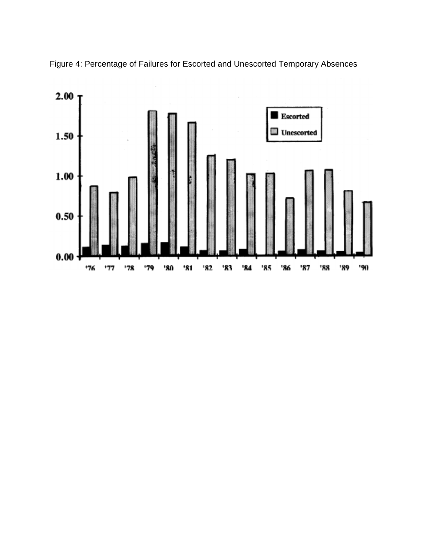

Figure 4: Percentage of Failures for Escorted and Unescorted Temporary Absences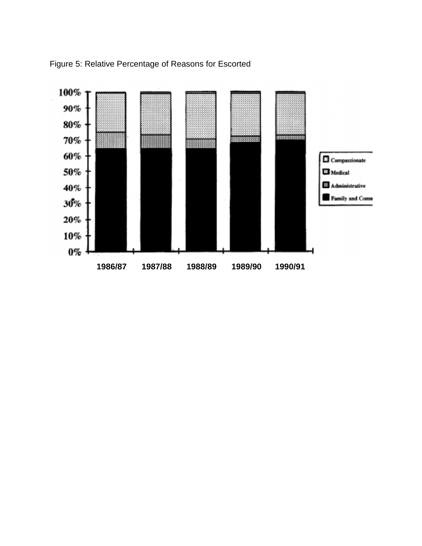

Figure 5: Relative Percentage of Reasons for Escorted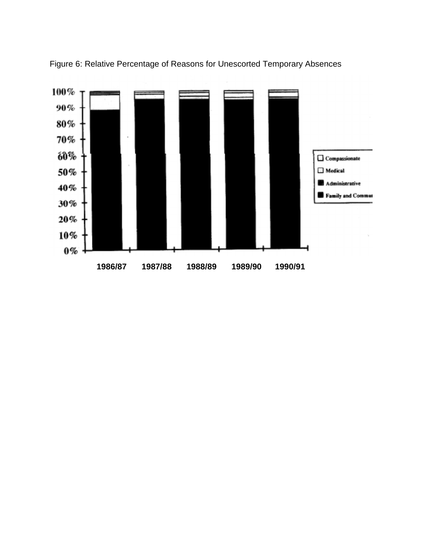

Figure 6: Relative Percentage of Reasons for Unescorted Temporary Absences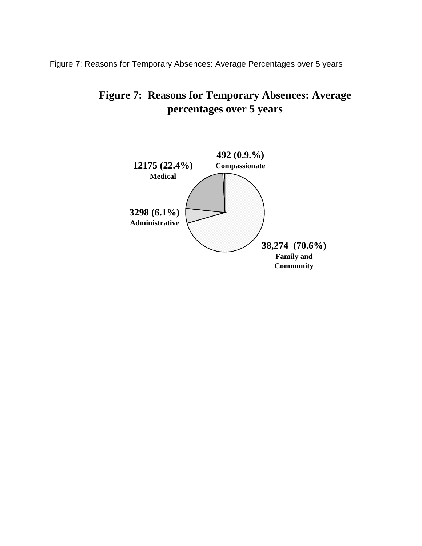Figure 7: Reasons for Temporary Absences: Average Percentages over 5 years

# **Figure 7: Reasons for Temporary Absences: Average percentages over 5 years**

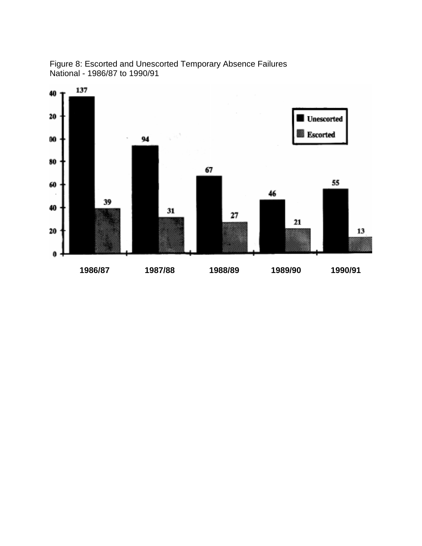

Figure 8: Escorted and Unescorted Temporary Absence Failures National - 1986/87 to 1990/91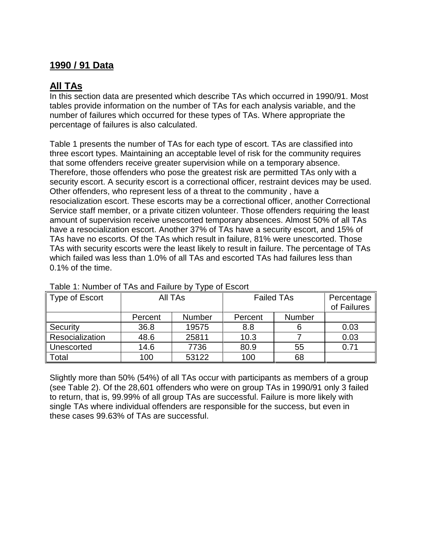## **1990 / 91 Data**

## **All TAs**

In this section data are presented which describe TAs which occurred in 1990/91. Most tables provide information on the number of TAs for each analysis variable, and the number of failures which occurred for these types of TAs. Where appropriate the percentage of failures is also calculated.

Table 1 presents the number of TAs for each type of escort. TAs are classified into three escort types. Maintaining an acceptable level of risk for the community requires that some offenders receive greater supervision while on a temporary absence. Therefore, those offenders who pose the greatest risk are permitted TAs only with a security escort. A security escort is a correctional officer, restraint devices may be used. Other offenders, who represent less of a threat to the community , have a resocialization escort. These escorts may be a correctional officer, another Correctional Service staff member, or a private citizen volunteer. Those offenders requiring the least amount of supervision receive unescorted temporary absences. Almost 50% of all TAs have a resocialization escort. Another 37% of TAs have a security escort, and 15% of TAs have no escorts. Of the TAs which result in failure, 81% were unescorted. Those TAs with security escorts were the least likely to result in failure. The percentage of TAs which failed was less than 1.0% of all TAs and escorted TAs had failures less than 0.1% of the time.

| Type of Escort  | All TAs |               | <b>Failed TAs</b> | Percentage<br>of Failures |      |
|-----------------|---------|---------------|-------------------|---------------------------|------|
|                 | Percent | <b>Number</b> | Percent           | Number                    |      |
| Security        | 36.8    | 19575         | 8.8               |                           | 0.03 |
| Resocialization | 48.6    | 25811         | 10.3              |                           | 0.03 |
| Unescorted      | 14.6    | 7736          | 80.9              | 55                        | 0.71 |
| Total           | 100     | 53122         | 100               | 68                        |      |

#### Table 1: Number of TAs and Failure by Type of Escort

Slightly more than 50% (54%) of all TAs occur with participants as members of a group (see Table 2). Of the 28,601 offenders who were on group TAs in 1990/91 only 3 failed to return, that is, 99.99% of all group TAs are successful. Failure is more likely with single TAs where individual offenders are responsible for the success, but even in these cases 99.63% of TAs are successful.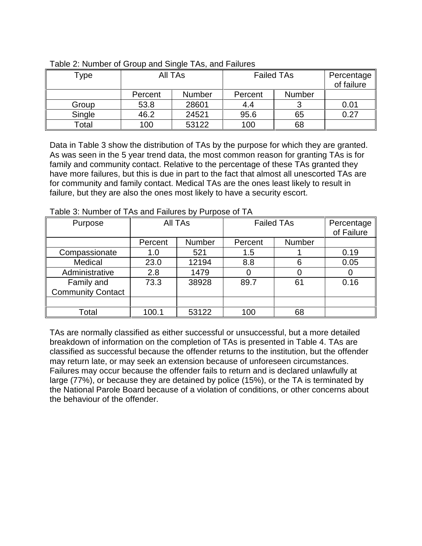| Type   | All TAs |               | <b>Failed TAs</b> | Percentage<br>of failure |      |
|--------|---------|---------------|-------------------|--------------------------|------|
|        | Percent | <b>Number</b> | Percent           | Number                   |      |
| Group  | 53.8    | 28601         | 4.4               |                          | 0.01 |
| Single | 46.2    | 24521         | 95.6              | 65                       | 0.27 |
| Total  | 100     | 53122         | 100               | 68                       |      |

| Table 2: Number of Group and Single TAs, and Failures |
|-------------------------------------------------------|
|-------------------------------------------------------|

Data in Table 3 show the distribution of TAs by the purpose for which they are granted. As was seen in the 5 year trend data, the most common reason for granting TAs is for family and community contact. Relative to the percentage of these TAs granted they have more failures, but this is due in part to the fact that almost all unescorted TAs are for community and family contact. Medical TAs are the ones least likely to result in failure, but they are also the ones most likely to have a security escort.

| Purpose                                | All TAs |        | <b>Failed TAs</b> | Percentage<br>of Failure |      |
|----------------------------------------|---------|--------|-------------------|--------------------------|------|
|                                        | Percent | Number | Percent           | Number                   |      |
| Compassionate                          | 1.0     | 521    | 1.5               |                          | 0.19 |
| Medical                                | 23.0    | 12194  | 8.8               | 6                        | 0.05 |
| Administrative                         | 2.8     | 1479   |                   |                          |      |
| Family and<br><b>Community Contact</b> | 73.3    | 38928  | 89.7              | 61                       | 0.16 |
|                                        |         |        |                   |                          |      |
| Total                                  | 100.1   | 53122  | 100               | 68                       |      |

Table 3: Number of TAs and Failures by Purpose of TA

TAs are normally classified as either successful or unsuccessful, but a more detailed breakdown of information on the completion of TAs is presented in Table 4. TAs are classified as successful because the offender returns to the institution, but the offender may return late, or may seek an extension because of unforeseen circumstances. Failures may occur because the offender fails to return and is declared unlawfully at large (77%), or because they are detained by police (15%), or the TA is terminated by the National Parole Board because of a violation of conditions, or other concerns about the behaviour of the offender.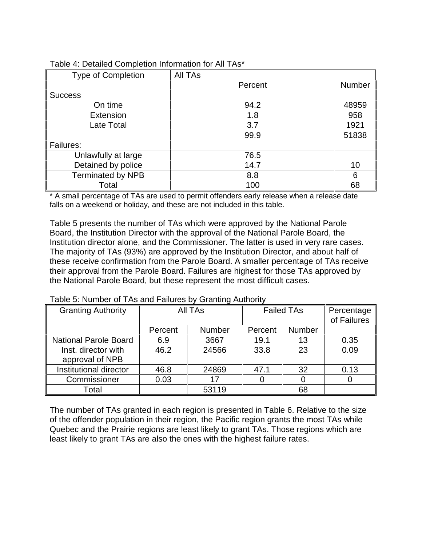| <b>Type of Completion</b> | All TAs |        |
|---------------------------|---------|--------|
|                           | Percent | Number |
| <b>Success</b>            |         |        |
| On time                   | 94.2    | 48959  |
| Extension                 | 1.8     | 958    |
| Late Total                | 3.7     | 1921   |
|                           | 99.9    | 51838  |
| Failures:                 |         |        |
| Unlawfully at large       | 76.5    |        |
| Detained by police        | 14.7    | 10     |
| <b>Terminated by NPB</b>  | 8.8     | 6      |
| Total                     | 100     | 68     |

#### Table 4: Detailed Completion Information for All TAs\*

\* A small percentage of TAs are used to permit offenders early release when a release date falls on a weekend or holiday, and these are not included in this table.

Table 5 presents the number of TAs which were approved by the National Parole Board, the Institution Director with the approval of the National Parole Board, the Institution director alone, and the Commissioner. The latter is used in very rare cases. The majority of TAs (93%) are approved by the Institution Director, and about half of these receive confirmation from the Parole Board. A smaller percentage of TAs receive their approval from the Parole Board. Failures are highest for those TAs approved by the National Parole Board, but these represent the most difficult cases.

| <b>Granting Authority</b>              | <b>All TAs</b> |               | <b>Failed TAs</b> | Percentage<br>of Failures |      |
|----------------------------------------|----------------|---------------|-------------------|---------------------------|------|
|                                        | Percent        | <b>Number</b> | Percent           | <b>Number</b>             |      |
| <b>National Parole Board</b>           | 6.9            | 3667          | 19.1              | 13                        | 0.35 |
| Inst. director with<br>approval of NPB | 46.2           | 24566         | 33.8              | 23                        | 0.09 |
| Institutional director                 | 46.8           | 24869         | 47.1              | 32                        | 0.13 |
| Commissioner                           | 0.03           | 17            |                   | 0                         |      |
| Total                                  |                | 53119         |                   | 68                        |      |

#### Table 5: Number of TAs and Failures by Granting Authority

The number of TAs granted in each region is presented in Table 6. Relative to the size of the offender population in their region, the Pacific region grants the most TAs while Quebec and the Prairie regions are least likely to grant TAs. Those regions which are least likely to grant TAs are also the ones with the highest failure rates.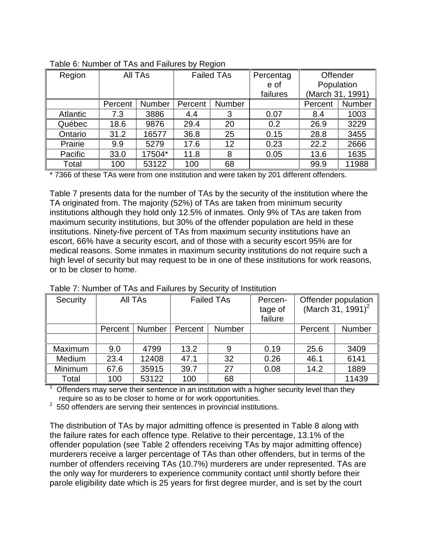| Region          | All TAs |               | <b>Failed TAs</b> |               | Percentag | Offender         |               |
|-----------------|---------|---------------|-------------------|---------------|-----------|------------------|---------------|
|                 |         |               |                   |               | e of      | Population       |               |
|                 |         |               |                   |               | failures  | (March 31, 1991) |               |
|                 | Percent | <b>Number</b> | Percent           | <b>Number</b> |           | Percent          | <b>Number</b> |
| <b>Atlantic</b> | 7.3     | 3886          | 4.4               | 3             | 0.07      | 8.4              | 1003          |
| Québec          | 18.6    | 9876          | 29.4              | 20            | 0.2       | 26.9             | 3229          |
| Ontario         | 31.2    | 16577         | 36.8              | 25            | 0.15      | 28.8             | 3455          |
| Prairie         | 9.9     | 5279          | 17.6              | 12            | 0.23      | 22.2             | 2666          |
| Pacific         | 33.0    | 17504*        | 11.8              | 8             | 0.05      | 13.6             | 1635          |
| Total           | 100     | 53122         | 100               | 68            |           | 99.9             | 11988         |

| Table 6: Number of TAs and Failures by Region |  |  |  |
|-----------------------------------------------|--|--|--|
|                                               |  |  |  |

\* 7366 of these TAs were from one institution and were taken by 201 different offenders.

Table 7 presents data for the number of TAs by the security of the institution where the TA originated from. The majority (52%) of TAs are taken from minimum security institutions although they hold only 12.5% of inmates. Only 9% of TAs are taken from maximum security institutions, but 30% of the offender population are held in these institutions. Ninety-five percent of TAs from maximum security institutions have an escort, 66% have a security escort, and of those with a security escort 95% are for medical reasons. Some inmates in maximum security institutions do not require such a high level of security but may request to be in one of these institutions for work reasons, or to be closer to home.

| Security | All TAs |               | <b>Failed TAs</b> |    | Percen-<br>tage of<br>failure |         | Offender population<br>(March 31, 1991) <sup>2</sup> |
|----------|---------|---------------|-------------------|----|-------------------------------|---------|------------------------------------------------------|
|          | Percent | <b>Number</b> | Number<br>Percent |    |                               | Percent | Number                                               |
|          |         |               |                   |    |                               |         |                                                      |
| Maximum  | 9.0     | 4799          | 13.2              | 9  | 0.19                          | 25.6    | 3409                                                 |
| Medium   | 23.4    | 12408         | 47.1              | 32 | 0.26                          | 46.1    | 6141                                                 |
| Minimum  | 67.6    | 35915         | 39.7              | 27 | 0.08                          | 14.2    | 1889                                                 |
| Total    | 100     | 53122         | 100               | 68 |                               |         | 11439                                                |

Table 7: Number of TAs and Failures by Security of Institution

 $1$  Offenders may serve their sentence in an institution with a higher security level than they require so as to be closer to home or for work opportunities.

 $2$  550 offenders are serving their sentences in provincial institutions.

The distribution of TAs by major admitting offence is presented in Table 8 along with the failure rates for each offence type. Relative to their percentage, 13.1% of the offender population (see Table 2 offenders receiving TAs by major admitting offence) murderers receive a larger percentage of TAs than other offenders, but in terms of the number of offenders receiving TAs (10.7%) murderers are under represented. TAs are the only way for murderers to experience community contact until shortly before their parole eligibility date which is 25 years for first degree murder, and is set by the court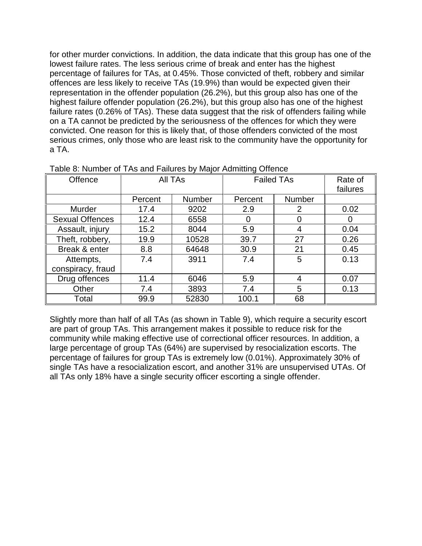for other murder convictions. In addition, the data indicate that this group has one of the lowest failure rates. The less serious crime of break and enter has the highest percentage of failures for TAs, at 0.45%. Those convicted of theft, robbery and similar offences are less likely to receive TAs (19.9%) than would be expected given their representation in the offender population (26.2%), but this group also has one of the highest failure offender population (26.2%), but this group also has one of the highest failure rates (0.26% of TAs). These data suggest that the risk of offenders failing while on a TA cannot be predicted by the seriousness of the offences for which they were convicted. One reason for this is likely that, of those offenders convicted of the most serious crimes, only those who are least risk to the community have the opportunity for a TA.

| Offence                | All TAs |        | <b>Failed TAs</b> | Rate of<br>failures |      |
|------------------------|---------|--------|-------------------|---------------------|------|
|                        | Percent | Number | Percent           | <b>Number</b>       |      |
| Murder                 | 17.4    | 9202   | 2.9               | 2                   | 0.02 |
| <b>Sexual Offences</b> | 12.4    | 6558   | 0                 | 0                   |      |
| Assault, injury        | 15.2    | 8044   | 5.9               | 4                   | 0.04 |
| Theft, robbery,        | 19.9    | 10528  | 39.7              | 27                  | 0.26 |
| Break & enter          | 8.8     | 64648  | 30.9              | 21                  | 0.45 |
| Attempts,              | 7.4     | 3911   | 7.4               | 5                   | 0.13 |
| conspiracy, fraud      |         |        |                   |                     |      |
| Drug offences          | 11.4    | 6046   | 5.9               | 4                   | 0.07 |
| Other                  | 7.4     | 3893   | 7.4               | 5                   | 0.13 |
| Total                  | 99.9    | 52830  | 100.1             | 68                  |      |

Table 8: Number of TAs and Failures by Major Admitting Offence

Slightly more than half of all TAs (as shown in Table 9), which require a security escort are part of group TAs. This arrangement makes it possible to reduce risk for the community while making effective use of correctional officer resources. In addition, a large percentage of group TAs (64%) are supervised by resocialization escorts. The percentage of failures for group TAs is extremely low (0.01%). Approximately 30% of single TAs have a resocialization escort, and another 31% are unsupervised UTAs. Of all TAs only 18% have a single security officer escorting a single offender.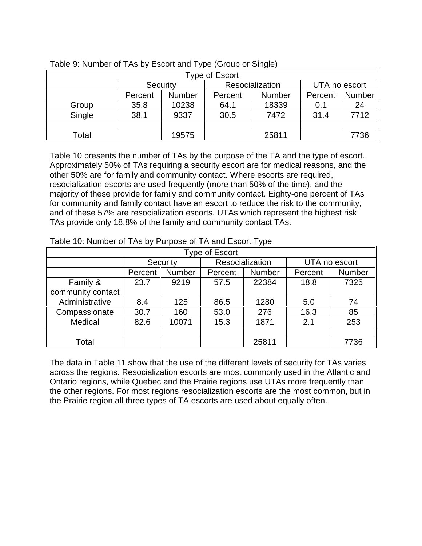| Type of Escort |                 |               |                 |               |               |        |  |  |  |
|----------------|-----------------|---------------|-----------------|---------------|---------------|--------|--|--|--|
|                | <b>Security</b> |               | Resocialization |               | UTA no escort |        |  |  |  |
|                | Percent         | <b>Number</b> | Percent         | <b>Number</b> | Percent       | Number |  |  |  |
| Group          | 35.8            | 10238         | 64.1            | 18339         | 0.1           | 24     |  |  |  |
| Single         | 38.1            | 9337          | 30.5            | 7472          | 31.4          | 7712   |  |  |  |
|                |                 |               |                 |               |               |        |  |  |  |
| Total          |                 | 19575         |                 | 25811         |               | 7736   |  |  |  |

#### Table 9: Number of TAs by Escort and Type (Group or Single)

Table 10 presents the number of TAs by the purpose of the TA and the type of escort. Approximately 50% of TAs requiring a security escort are for medical reasons, and the other 50% are for family and community contact. Where escorts are required, resocialization escorts are used frequently (more than 50% of the time), and the majority of these provide for family and community contact. Eighty-one percent of TAs for community and family contact have an escort to reduce the risk to the community, and of these 57% are resocialization escorts. UTAs which represent the highest risk TAs provide only 18.8% of the family and community contact TAs.

| Type of Escort    |         |               |         |                 |         |               |  |  |
|-------------------|---------|---------------|---------|-----------------|---------|---------------|--|--|
|                   |         | Security      |         | Resocialization |         | UTA no escort |  |  |
|                   | Percent | <b>Number</b> | Percent | Number          | Percent | Number        |  |  |
| Family &          | 23.7    | 9219          | 57.5    | 22384           | 18.8    | 7325          |  |  |
| community contact |         |               |         |                 |         |               |  |  |
| Administrative    | 8.4     | 125           | 86.5    | 1280            | 5.0     | 74            |  |  |
| Compassionate     | 30.7    | 160           | 53.0    | 276             | 16.3    | 85            |  |  |
| Medical           | 82.6    | 10071         | 15.3    | 1871            | 2.1     | 253           |  |  |
|                   |         |               |         |                 |         |               |  |  |
| Total             |         |               |         | 25811           |         | 7736          |  |  |

| Table 10: Number of TAs by Purpose of TA and Escort Type |  |
|----------------------------------------------------------|--|
|                                                          |  |

The data in Table 11 show that the use of the different levels of security for TAs varies across the regions. Resocialization escorts are most commonly used in the Atlantic and Ontario regions, while Quebec and the Prairie regions use UTAs more frequently than the other regions. For most regions resocialization escorts are the most common, but in the Prairie region all three types of TA escorts are used about equally often.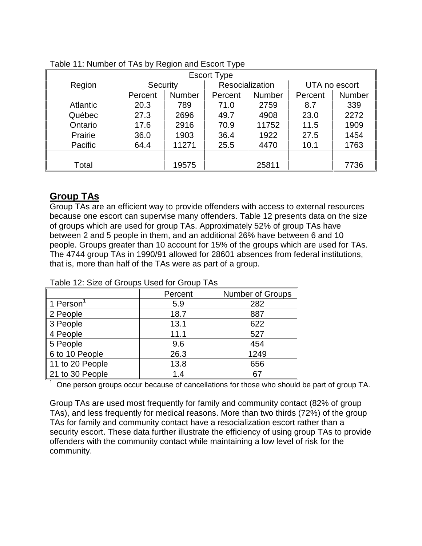| <b>Escort Type</b> |          |               |                 |               |               |        |  |  |
|--------------------|----------|---------------|-----------------|---------------|---------------|--------|--|--|
| Region             | Security |               | Resocialization |               | UTA no escort |        |  |  |
|                    | Percent  | <b>Number</b> | Percent         | <b>Number</b> | Percent       | Number |  |  |
| <b>Atlantic</b>    | 20.3     | 789           | 71.0            | 2759          | 8.7           | 339    |  |  |
| Québec             | 27.3     | 2696          | 49.7            | 4908          | 23.0          | 2272   |  |  |
| Ontario            | 17.6     | 2916          | 70.9            | 11752         | 11.5          | 1909   |  |  |
| Prairie            | 36.0     | 1903          | 36.4            | 1922          | 27.5          | 1454   |  |  |
| Pacific            | 64.4     | 11271         | 25.5            | 4470          | 10.1          | 1763   |  |  |
|                    |          |               |                 |               |               |        |  |  |
| Total              |          | 19575         |                 | 25811         |               | 7736   |  |  |

|  |  | Table 11: Number of TAs by Region and Escort Type |  |
|--|--|---------------------------------------------------|--|
|  |  |                                                   |  |

## **Group TAs**

1

Group TAs are an efficient way to provide offenders with access to external resources because one escort can supervise many offenders. Table 12 presents data on the size of groups which are used for group TAs. Approximately 52% of group TAs have between 2 and 5 people in them, and an additional 26% have between 6 and 10 people. Groups greater than 10 account for 15% of the groups which are used for TAs. The 4744 group TAs in 1990/91 allowed for 28601 absences from federal institutions, that is, more than half of the TAs were as part of a group.

|                 | Percent | Number of Groups |  |  |  |  |
|-----------------|---------|------------------|--|--|--|--|
| 1 Person        | 5.9     | 282              |  |  |  |  |
| 2 People        | 18.7    | 887              |  |  |  |  |
| 3 People        | 13.1    | 622              |  |  |  |  |
| 4 People        | 11.1    | 527              |  |  |  |  |
| 5 People        | 9.6     | 454              |  |  |  |  |
| 6 to 10 People  | 26.3    | 1249             |  |  |  |  |
| 11 to 20 People | 13.8    | 656              |  |  |  |  |
| 21 to 30 People | 1.4     | 67               |  |  |  |  |

#### Table 12: Size of Groups Used for Group TAs

One person groups occur because of cancellations for those who should be part of group TA.

Group TAs are used most frequently for family and community contact (82% of group TAs), and less frequently for medical reasons. More than two thirds (72%) of the group TAs for family and community contact have a resocialization escort rather than a security escort. These data further illustrate the efficiency of using group TAs to provide offenders with the community contact while maintaining a low level of risk for the community.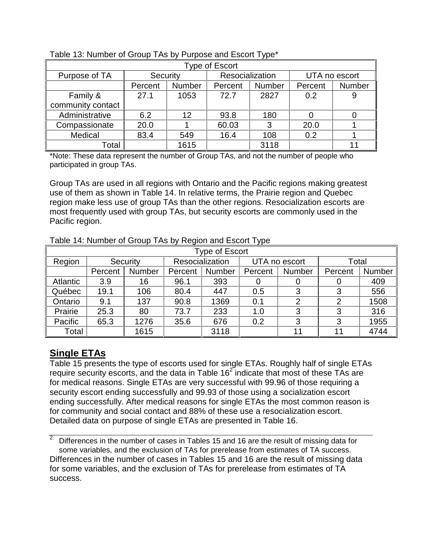| <b>Type of Escort</b> |          |        |                 |        |               |        |  |  |
|-----------------------|----------|--------|-----------------|--------|---------------|--------|--|--|
| Purpose of TA         | Security |        | Resocialization |        | UTA no escort |        |  |  |
|                       | Percent  | Number | Percent         | Number | Percent       | Number |  |  |
| Family &              | 27.1     | 1053   | 72.7            | 2827   | 0.2           |        |  |  |
| community contact     |          |        |                 |        |               |        |  |  |
| Administrative        | 6.2      | 12     | 93.8            | 180    |               |        |  |  |
| Compassionate         | 20.0     |        | 60.03           | 3      | 20.0          |        |  |  |
| Medical               | 83.4     | 549    | 16.4            | 108    | 0.2           |        |  |  |
| Total                 |          | 1615   |                 | 3118   |               |        |  |  |

#### Table 13: Number of Group TAs by Purpose and Escort Type\*

\*Note: These data represent the number of Group TAs, and not the number of people who participated in group TAs.

Group TAs are used in all regions with Ontario and the Pacific regions making greatest use of them as shown in Table 14. In relative terms, the Prairie region and Quebec region make less use of group TAs than the other regions. Resocialization escorts are most frequently used with group TAs, but security escorts are commonly used in the Pacific region.

| <b>Type of Escort</b> |         |          |         |                 |         |               |         |        |  |
|-----------------------|---------|----------|---------|-----------------|---------|---------------|---------|--------|--|
| Region                |         | Security |         | Resocialization |         | UTA no escort |         | Total  |  |
|                       | Percent | Number   | Percent | <b>Number</b>   | Percent | <b>Number</b> | Percent | Number |  |
| Atlantic              | 3.9     | 16       | 96.1    | 393             |         |               | O       | 409    |  |
| Québec                | 19.1    | 106      | 80.4    | 447             | 0.5     | 3             | 3       | 556    |  |
| Ontario               | 9.1     | 137      | 90.8    | 1369            | 0.1     | 2             | 2       | 1508   |  |
| Prairie               | 25.3    | 80       | 73.7    | 233             | 1.0     | 3             | 3       | 316    |  |
| Pacific               | 65.3    | 1276     | 35.6    | 676             | 0.2     | 3             | 3       | 1955   |  |
| Total                 |         | 1615     |         | 3118            |         | 11            | 11      | 4744   |  |

Table 14: Number of Group TAs by Region and Escort Type

## **Single ETAs**

Table 15 presents the type of escorts used for single ETAs. Roughly half of single ETAs require security escorts, and the data in Table  $16<sup>2</sup>$  indicate that most of these TAs are for medical reasons. Single ETAs are very successful with 99.96 of those requiring a security escort ending successfully and 99.93 of those using a socialization escort ending successfully. After medical reasons for single ETAs the most common reason is for community and social contact and 88% of these use a resocialization escort. Detailed data on purpose of single ETAs are presented in Table 16.

 $\overline{2}$  Differences in the number of cases in Tables 15 and 16 are the result of missing data for some variables, and the exclusion of TAs for prerelease from estimates of TA success. Differences in the number of cases in Tables 15 and 16 are the result of missing data for some variables, and the exclusion of TAs for prerelease from estimates of TA success.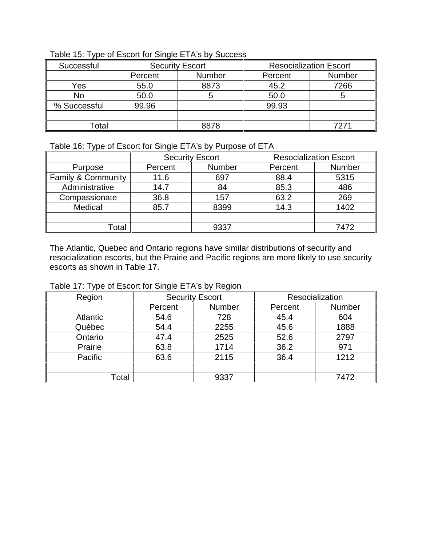| Successful   | <b>Security Escort</b> |               | <b>Resocialization Escort</b> |               |
|--------------|------------------------|---------------|-------------------------------|---------------|
|              | Percent                | <b>Number</b> | Percent                       | <b>Number</b> |
| Yes          | 55.0                   | 8873          | 45.2                          | 7266          |
| <b>No</b>    | 50.0                   |               | 50.0                          |               |
| % Successful | 99.96                  |               | 99.93                         |               |
|              |                        |               |                               |               |
| otal         |                        | 8878          |                               | 7271          |

Table 15: Type of Escort for Single ETA's by Success

#### Table 16: Type of Escort for Single ETA's by Purpose of ETA

|                               | <b>Security Escort</b> |        | <b>Resocialization Escort</b> |               |
|-------------------------------|------------------------|--------|-------------------------------|---------------|
| Purpose                       | Percent                | Number | Percent                       | <b>Number</b> |
| <b>Family &amp; Community</b> | 11.6                   | 697    | 88.4                          | 5315          |
| Administrative                | 14.7                   | 84     | 85.3                          | 486           |
| Compassionate                 | 36.8                   | 157    | 63.2                          | 269           |
| Medical                       | 85.7                   | 8399   | 14.3                          | 1402          |
|                               |                        |        |                               |               |
| ⊺otal                         |                        | 9337   |                               | 7472          |

The Atlantic, Quebec and Ontario regions have similar distributions of security and resocialization escorts, but the Prairie and Pacific regions are more likely to use security escorts as shown in Table 17.

Table 17: Type of Escort for Single ETA's by Region

| Region          |         | <b>Security Escort</b> |         | Resocialization |
|-----------------|---------|------------------------|---------|-----------------|
|                 | Percent | <b>Number</b>          | Percent | <b>Number</b>   |
| <b>Atlantic</b> | 54.6    | 728                    | 45.4    | 604             |
| Québec          | 54.4    | 2255                   | 45.6    | 1888            |
| Ontario         | 47.4    | 2525                   | 52.6    | 2797            |
| Prairie         | 63.8    | 1714                   | 36.2    | 971             |
| Pacific         | 63.6    | 2115                   | 36.4    | 1212            |
|                 |         |                        |         |                 |
| Total           |         | 9337                   |         | 7472            |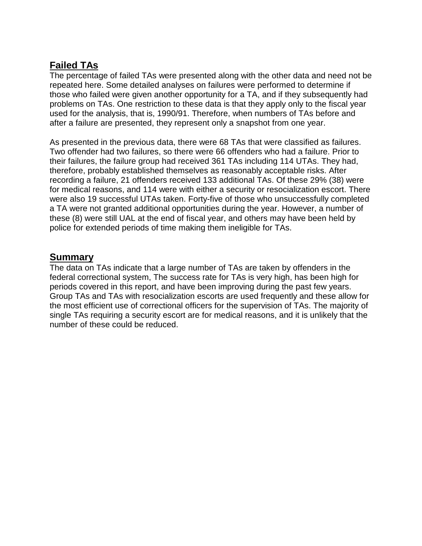## **Failed TAs**

The percentage of failed TAs were presented along with the other data and need not be repeated here. Some detailed analyses on failures were performed to determine if those who failed were given another opportunity for a TA, and if they subsequently had problems on TAs. One restriction to these data is that they apply only to the fiscal year used for the analysis, that is, 1990/91. Therefore, when numbers of TAs before and after a failure are presented, they represent only a snapshot from one year.

As presented in the previous data, there were 68 TAs that were classified as failures. Two offender had two failures, so there were 66 offenders who had a failure. Prior to their failures, the failure group had received 361 TAs including 114 UTAs. They had, therefore, probably established themselves as reasonably acceptable risks. After recording a failure, 21 offenders received 133 additional TAs. Of these 29% (38) were for medical reasons, and 114 were with either a security or resocialization escort. There were also 19 successful UTAs taken. Forty-five of those who unsuccessfully completed a TA were not granted additional opportunities during the year. However, a number of these (8) were still UAL at the end of fiscal year, and others may have been held by police for extended periods of time making them ineligible for TAs.

## **Summary**

The data on TAs indicate that a large number of TAs are taken by offenders in the federal correctional system, The success rate for TAs is very high, has been high for periods covered in this report, and have been improving during the past few years. Group TAs and TAs with resocialization escorts are used frequently and these allow for the most efficient use of correctional officers for the supervision of TAs. The majority of single TAs requiring a security escort are for medical reasons, and it is unlikely that the number of these could be reduced.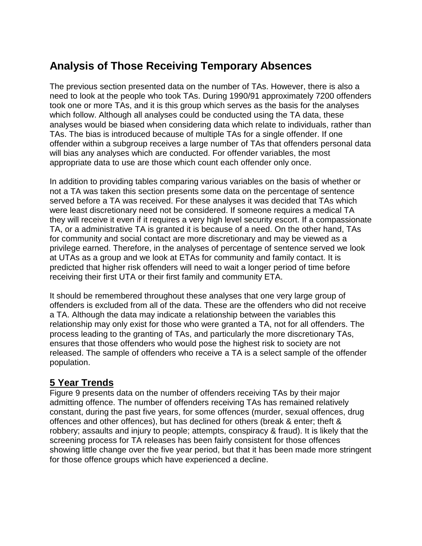# **Analysis of Those Receiving Temporary Absences**

The previous section presented data on the number of TAs. However, there is also a need to look at the people who took TAs. During 1990/91 approximately 7200 offenders took one or more TAs, and it is this group which serves as the basis for the analyses which follow. Although all analyses could be conducted using the TA data, these analyses would be biased when considering data which relate to individuals, rather than TAs. The bias is introduced because of multiple TAs for a single offender. If one offender within a subgroup receives a large number of TAs that offenders personal data will bias any analyses which are conducted. For offender variables, the most appropriate data to use are those which count each offender only once.

In addition to providing tables comparing various variables on the basis of whether or not a TA was taken this section presents some data on the percentage of sentence served before a TA was received. For these analyses it was decided that TAs which were least discretionary need not be considered. If someone requires a medical TA they will receive it even if it requires a very high level security escort. If a compassionate TA, or a administrative TA is granted it is because of a need. On the other hand, TAs for community and social contact are more discretionary and may be viewed as a privilege earned. Therefore, in the analyses of percentage of sentence served we look at UTAs as a group and we look at ETAs for community and family contact. It is predicted that higher risk offenders will need to wait a longer period of time before receiving their first UTA or their first family and community ETA.

It should be remembered throughout these analyses that one very large group of offenders is excluded from all of the data. These are the offenders who did not receive a TA. Although the data may indicate a relationship between the variables this relationship may only exist for those who were granted a TA, not for all offenders. The process leading to the granting of TAs, and particularly the more discretionary TAs, ensures that those offenders who would pose the highest risk to society are not released. The sample of offenders who receive a TA is a select sample of the offender population.

## **5 Year Trends**

Figure 9 presents data on the number of offenders receiving TAs by their major admitting offence. The number of offenders receiving TAs has remained relatively constant, during the past five years, for some offences (murder, sexual offences, drug offences and other offences), but has declined for others (break & enter; theft & robbery; assaults and injury to people; attempts, conspiracy & fraud). It is likely that the screening process for TA releases has been fairly consistent for those offences showing little change over the five year period, but that it has been made more stringent for those offence groups which have experienced a decline.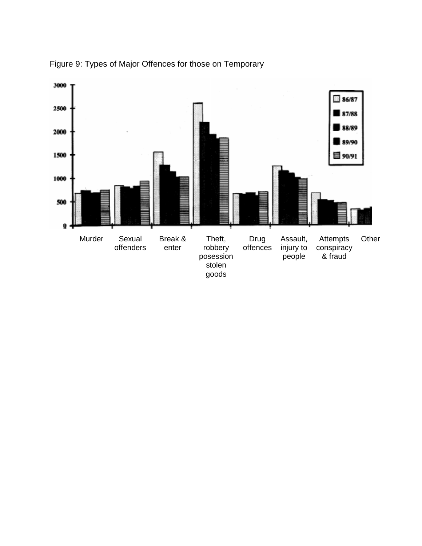

Figure 9: Types of Major Offences for those on Temporary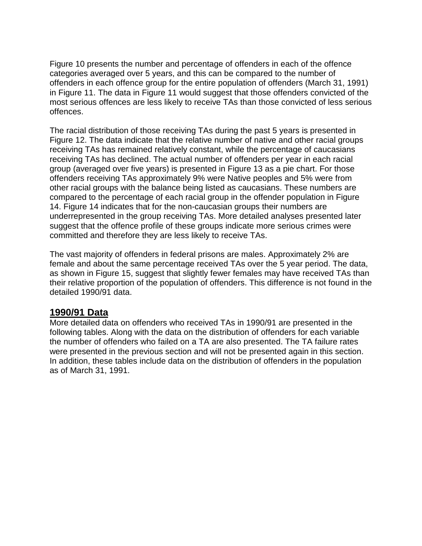Figure 10 presents the number and percentage of offenders in each of the offence categories averaged over 5 years, and this can be compared to the number of offenders in each offence group for the entire population of offenders (March 31, 1991) in Figure 11. The data in Figure 11 would suggest that those offenders convicted of the most serious offences are less likely to receive TAs than those convicted of less serious offences.

The racial distribution of those receiving TAs during the past 5 years is presented in Figure 12. The data indicate that the relative number of native and other racial groups receiving TAs has remained relatively constant, while the percentage of caucasians receiving TAs has declined. The actual number of offenders per year in each racial group (averaged over five years) is presented in Figure 13 as a pie chart. For those offenders receiving TAs approximately 9% were Native peoples and 5% were from other racial groups with the balance being listed as caucasians. These numbers are compared to the percentage of each racial group in the offender population in Figure 14. Figure 14 indicates that for the non-caucasian groups their numbers are underrepresented in the group receiving TAs. More detailed analyses presented later suggest that the offence profile of these groups indicate more serious crimes were committed and therefore they are less likely to receive TAs.

The vast majority of offenders in federal prisons are males. Approximately 2% are female and about the same percentage received TAs over the 5 year period. The data, as shown in Figure 15, suggest that slightly fewer females may have received TAs than their relative proportion of the population of offenders. This difference is not found in the detailed 1990/91 data.

#### **1990/91 Data**

More detailed data on offenders who received TAs in 1990/91 are presented in the following tables. Along with the data on the distribution of offenders for each variable the number of offenders who failed on a TA are also presented. The TA failure rates were presented in the previous section and will not be presented again in this section. In addition, these tables include data on the distribution of offenders in the population as of March 31, 1991.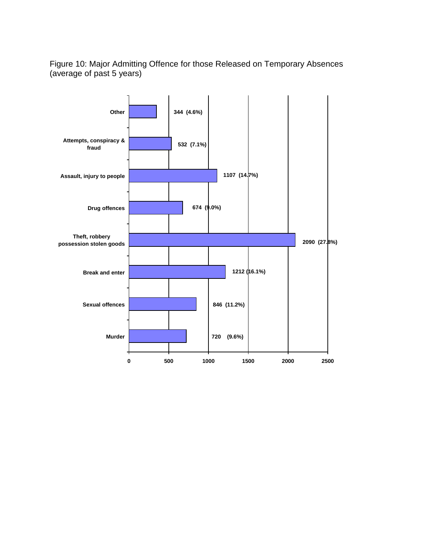Figure 10: Major Admitting Offence for those Released on Temporary Absences (average of past 5 years)

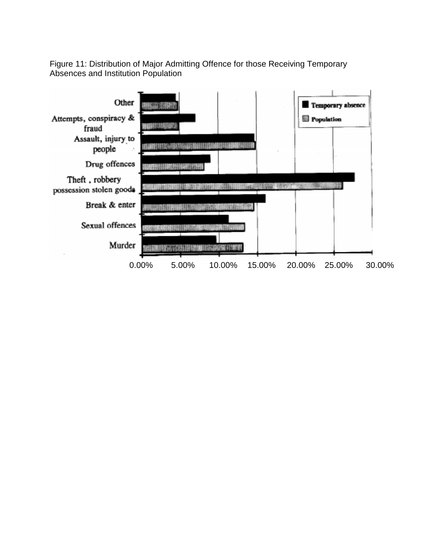Figure 11: Distribution of Major Admitting Offence for those Receiving Temporary Absences and Institution Population

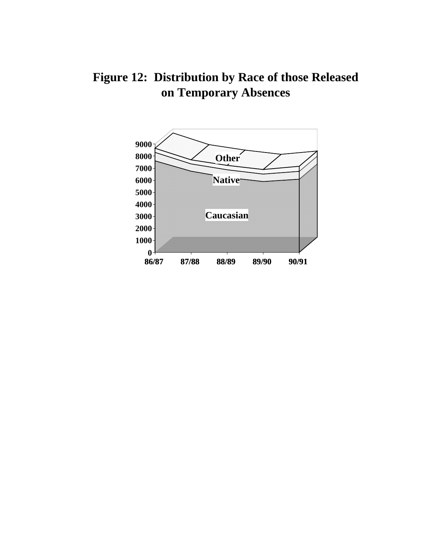**Figure 12: Distribution by Race of those Released on Temporary Absences**

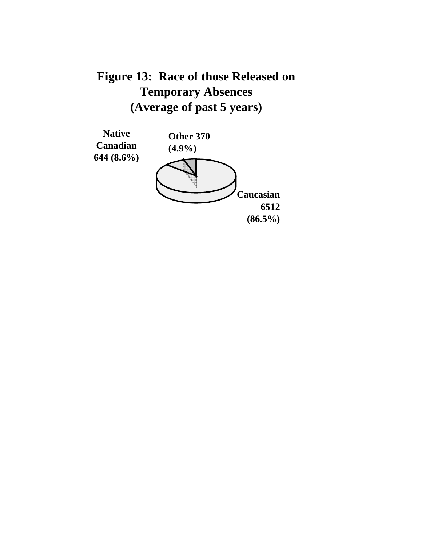# **Figure 13: Race of those Released on Temporary Absences (Average of past 5 years)**

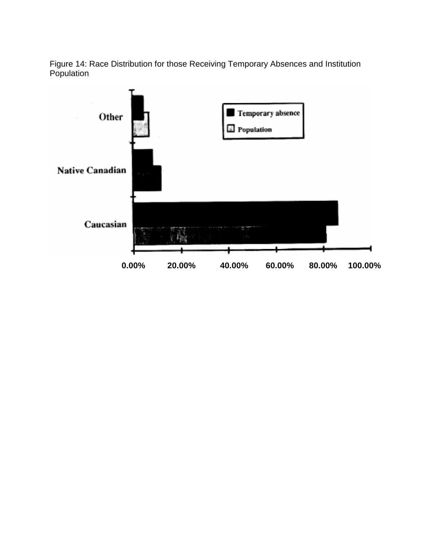Figure 14: Race Distribution for those Receiving Temporary Absences and Institution Population

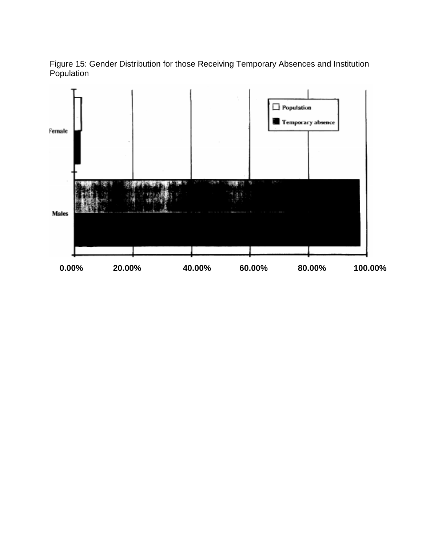Figure 15: Gender Distribution for those Receiving Temporary Absences and Institution Population

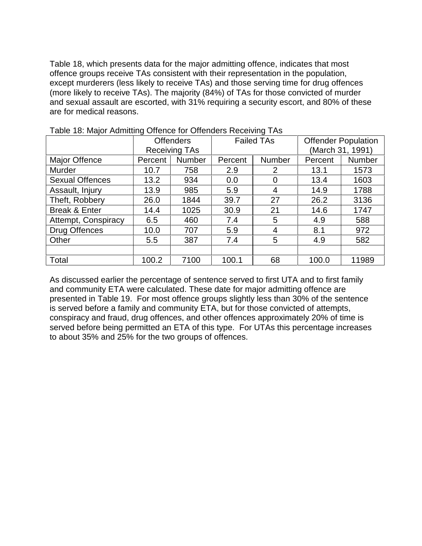Table 18, which presents data for the major admitting offence, indicates that most offence groups receive TAs consistent with their representation in the population, except murderers (less likely to receive TAs) and those serving time for drug offences (more likely to receive TAs). The majority (84%) of TAs for those convicted of murder and sexual assault are escorted, with 31% requiring a security escort, and 80% of these are for medical reasons.

| <b>Table To: Major / Minimily Offence for Offence is recogning T/10</b> |                  |                      |                   |               |                            |               |
|-------------------------------------------------------------------------|------------------|----------------------|-------------------|---------------|----------------------------|---------------|
|                                                                         | <b>Offenders</b> |                      | <b>Failed TAs</b> |               | <b>Offender Population</b> |               |
|                                                                         |                  | <b>Receiving TAs</b> |                   |               | (March 31, 1991)           |               |
| Major Offence                                                           | Percent          | <b>Number</b>        | Percent           | <b>Number</b> | Percent                    | <b>Number</b> |
| Murder                                                                  | 10.7             | 758                  | 2.9               | 2             | 13.1                       | 1573          |
| <b>Sexual Offences</b>                                                  | 13.2             | 934                  | 0.0               | 0             | 13.4                       | 1603          |
| Assault, Injury                                                         | 13.9             | 985                  | 5.9               | 4             | 14.9                       | 1788          |
| Theft, Robbery                                                          | 26.0             | 1844                 | 39.7              | 27            | 26.2                       | 3136          |
| Break & Enter                                                           | 14.4             | 1025                 | 30.9              | 21            | 14.6                       | 1747          |
| Attempt, Conspiracy                                                     | 6.5              | 460                  | 7.4               | 5             | 4.9                        | 588           |
| <b>Drug Offences</b>                                                    | 10.0             | 707                  | 5.9               | 4             | 8.1                        | 972           |
| Other                                                                   | 5.5              | 387                  | 7.4               | 5             | 4.9                        | 582           |
|                                                                         |                  |                      |                   |               |                            |               |
| Total                                                                   | 100.2            | 7100                 | 100.1             | 68            | 100.0                      | 11989         |

|  | Table 18: Major Admitting Offence for Offenders Receiving TAs |  |  |
|--|---------------------------------------------------------------|--|--|
|  |                                                               |  |  |

As discussed earlier the percentage of sentence served to first UTA and to first family and community ETA were calculated. These date for major admitting offence are presented in Table 19. For most offence groups slightly less than 30% of the sentence is served before a family and community ETA, but for those convicted of attempts, conspiracy and fraud, drug offences, and other offences approximately 20% of time is served before being permitted an ETA of this type. For UTAs this percentage increases to about 35% and 25% for the two groups of offences.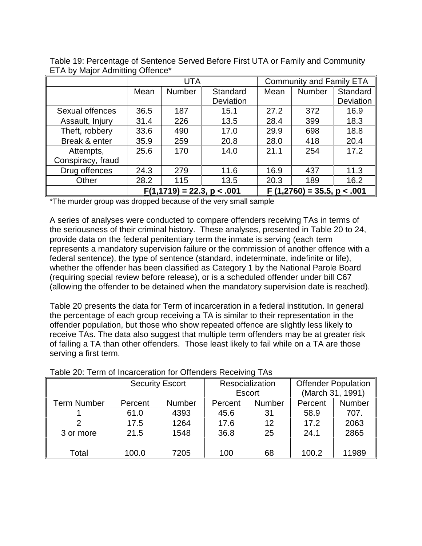|                   | UTA                          |                           |           | <b>Community and Family ETA</b> |        |           |
|-------------------|------------------------------|---------------------------|-----------|---------------------------------|--------|-----------|
|                   | Mean                         | <b>Number</b><br>Standard |           | Mean                            | Number | Standard  |
|                   |                              |                           | Deviation |                                 |        | Deviation |
| Sexual offences   | 36.5                         | 187                       | 15.1      | 27.2                            | 372    | 16.9      |
| Assault, Injury   | 31.4                         | 226                       | 13.5      | 28.4                            | 399    | 18.3      |
| Theft, robbery    | 33.6                         | 490                       | 17.0      | 29.9                            | 698    | 18.8      |
| Break & enter     | 35.9                         | 259                       | 20.8      | 28.0                            | 418    | 20.4      |
| Attempts,         | 25.6                         | 170                       | 14.0      | 21.1                            | 254    | 17.2      |
| Conspiracy, fraud |                              |                           |           |                                 |        |           |
| Drug offences     | 24.3                         | 279                       | 11.6      | 16.9                            | 437    | 11.3      |
| Other             | 28.2                         | 115                       | 13.5      | 20.3                            | 189    | 16.2      |
|                   | $F(1,1719) = 22.3, p < .001$ |                           |           | $F(1,2760) = 35.5, p < .001$    |        |           |

Table 19: Percentage of Sentence Served Before First UTA or Family and Community ETA by Major Admitting Offence\*

\*The murder group was dropped because of the very small sample

A series of analyses were conducted to compare offenders receiving TAs in terms of the seriousness of their criminal history. These analyses, presented in Table 20 to 24, provide data on the federal penitentiary term the inmate is serving (each term represents a mandatory supervision failure or the commission of another offence with a federal sentence), the type of sentence (standard, indeterminate, indefinite or life), whether the offender has been classified as Category 1 by the National Parole Board (requiring special review before release), or is a scheduled offender under bill C67 (allowing the offender to be detained when the mandatory supervision date is reached).

Table 20 presents the data for Term of incarceration in a federal institution. In general the percentage of each group receiving a TA is similar to their representation in the offender population, but those who show repeated offence are slightly less likely to receive TAs. The data also suggest that multiple term offenders may be at greater risk of failing a TA than other offenders. Those least likely to fail while on a TA are those serving a first term.

| rapio zu. Tomi ur modrocration for Unchacto Rocciving TAG |                        |               |         |                 |         |                            |  |  |
|-----------------------------------------------------------|------------------------|---------------|---------|-----------------|---------|----------------------------|--|--|
|                                                           | <b>Security Escort</b> |               |         | Resocialization |         | <b>Offender Population</b> |  |  |
|                                                           |                        |               |         | Escort          |         | (March 31, 1991)           |  |  |
| <b>Term Number</b>                                        | Percent                | <b>Number</b> | Percent | Number          | Percent | Number                     |  |  |
|                                                           | 61.0                   | 4393          | 45.6    | 31              | 58.9    | 707.                       |  |  |
|                                                           | 17.5                   | 1264          | 17.6    | 12              | 17.2    | 2063                       |  |  |
| 3 or more                                                 | 21.5                   | 1548          | 36.8    | 25              | 24.1    | 2865                       |  |  |
|                                                           |                        |               |         |                 |         |                            |  |  |
| Total                                                     | 100.0                  | 7205          | 100     | 68              | 100.2   | 11989                      |  |  |

#### Table 20: Term of Incarceration for Offenders Receiving TAs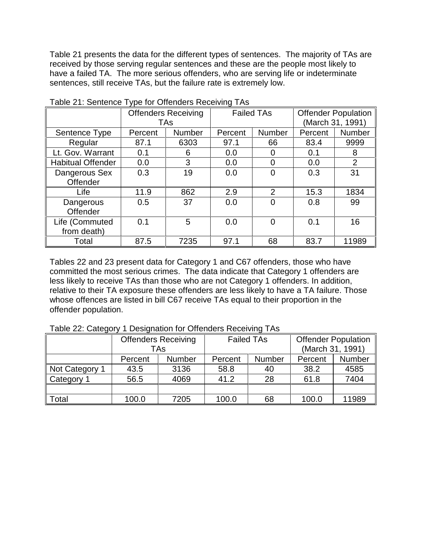Table 21 presents the data for the different types of sentences. The majority of TAs are received by those serving regular sentences and these are the people most likely to have a failed TA. The more serious offenders, who are serving life or indeterminate sentences, still receive TAs, but the failure rate is extremely low.

|                          | <b>Offenders Receiving</b> |               | <b>Failed TAs</b> |                | <b>Offender Population</b> |               |
|--------------------------|----------------------------|---------------|-------------------|----------------|----------------------------|---------------|
|                          | TAs                        |               |                   |                | (March 31, 1991)           |               |
| Sentence Type            | Percent                    | <b>Number</b> | Percent           | Number         | Percent                    | <b>Number</b> |
| Regular                  | 87.1                       | 6303          | 97.1              | 66             | 83.4                       | 9999          |
| Lt. Gov. Warrant         | 0.1                        | 6             | 0.0               |                | 0.1                        | 8             |
| <b>Habitual Offender</b> | 0.0                        | 3             | 0.0               |                | 0.0                        | 2             |
| Dangerous Sex            | 0.3                        | 19            | 0.0               |                | 0.3                        | 31            |
| Offender                 |                            |               |                   |                |                            |               |
| Life                     | 11.9                       | 862           | 2.9               | $\overline{2}$ | 15.3                       | 1834          |
| Dangerous                | 0.5                        | 37            | 0.0               |                | 0.8                        | 99            |
| Offender                 |                            |               |                   |                |                            |               |
| Life (Commuted           | 0.1                        | 5             | 0.0               | 0              | 0.1                        | 16            |
| from death)              |                            |               |                   |                |                            |               |
| Total                    | 87.5                       | 7235          | 97.1              | 68             | 83.7                       | 11989         |

Table 21: Sentence Type for Offenders Receiving TAs

Tables 22 and 23 present data for Category 1 and C67 offenders, those who have committed the most serious crimes. The data indicate that Category 1 offenders are less likely to receive TAs than those who are not Category 1 offenders. In addition, relative to their TA exposure these offenders are less likely to have a TA failure. Those whose offences are listed in bill C67 receive TAs equal to their proportion in the offender population.

|                | <b>Offenders Receiving</b><br>TAs |               | <b>Failed TAs</b> |        | <b>Offender Population</b><br>(March 31, 1991) |        |
|----------------|-----------------------------------|---------------|-------------------|--------|------------------------------------------------|--------|
|                | Percent                           | <b>Number</b> | Percent           | Number | Percent                                        | Number |
| Not Category 1 | 43.5                              | 3136          | 58.8              | 40     | 38.2                                           | 4585   |
| Category 1     | 56.5                              | 4069          | 41.2              | 28     | 61.8                                           | 7404   |
|                |                                   |               |                   |        |                                                |        |
| Total          | 100.0                             | 7205          | 100.0             | 68     | 100.0                                          | 11989  |

Table 22: Category 1 Designation for Offenders Receiving TAs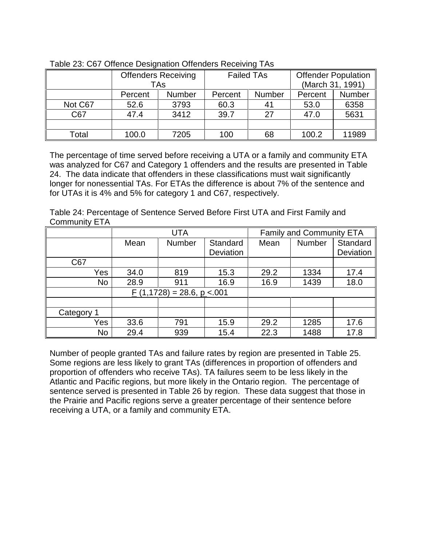|         | <b>Offenders Receiving</b> |               |         | <b>Failed TAs</b> |         | <b>Offender Population</b> |  |
|---------|----------------------------|---------------|---------|-------------------|---------|----------------------------|--|
|         |                            | TAs           |         |                   |         | (March 31, 1991)           |  |
|         | Percent                    | <b>Number</b> | Percent | <b>Number</b>     | Percent | Number                     |  |
| Not C67 | 52.6                       | 3793          | 60.3    | 41                | 53.0    | 6358                       |  |
| C67     | 47.4                       | 3412          | 39.7    | 27                | 47.0    | 5631                       |  |
|         |                            |               |         |                   |         |                            |  |
| Гotal   | 100.0                      | 7205          | 100     | 68                | 100.2   | 11989                      |  |

Table 23: C67 Offence Designation Offenders Receiving TAs

The percentage of time served before receiving a UTA or a family and community ETA was analyzed for C67 and Category 1 offenders and the results are presented in Table 24. The data indicate that offenders in these classifications must wait significantly longer for nonessential TAs. For ETAs the difference is about 7% of the sentence and for UTAs it is 4% and 5% for category 1 and C67, respectively.

| Table 24: Percentage of Sentence Served Before First UTA and First Family and |  |  |  |  |
|-------------------------------------------------------------------------------|--|--|--|--|
| <b>Community ETA</b>                                                          |  |  |  |  |

|            | <b>UTA</b> |                               |                  | <b>Family and Community ETA</b> |        |           |
|------------|------------|-------------------------------|------------------|---------------------------------|--------|-----------|
|            | Mean       | <b>Number</b>                 | Standard         | Mean                            | Number | Standard  |
|            |            |                               | <b>Deviation</b> |                                 |        | Deviation |
| C67        |            |                               |                  |                                 |        |           |
| Yes        | 34.0       | 819                           | 15.3             | 29.2                            | 1334   | 17.4      |
| No         | 28.9       | 911                           | 16.9             | 16.9                            | 1439   | 18.0      |
|            |            | $F(1,1728) = 28.6, p < 0.001$ |                  |                                 |        |           |
|            |            |                               |                  |                                 |        |           |
| Category 1 |            |                               |                  |                                 |        |           |
| Yes        | 33.6       | 791                           | 15.9             | 29.2                            | 1285   | 17.6      |
| No         | 29.4       | 939                           | 15.4             | 22.3                            | 1488   | 17.8      |

Number of people granted TAs and failure rates by region are presented in Table 25. Some regions are less likely to grant TAs (differences in proportion of offenders and proportion of offenders who receive TAs). TA failures seem to be less likely in the Atlantic and Pacific regions, but more likely in the Ontario region. The percentage of sentence served is presented in Table 26 by region. These data suggest that those in the Prairie and Pacific regions serve a greater percentage of their sentence before receiving a UTA, or a family and community ETA.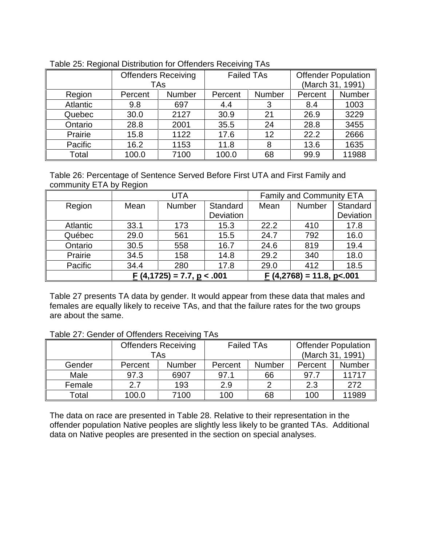|          | <b>Offenders Receiving</b><br><b>TAs</b> |        | <b>Failed TAs</b> |        | <b>Offender Population</b><br>(March 31, 1991) |        |
|----------|------------------------------------------|--------|-------------------|--------|------------------------------------------------|--------|
|          |                                          |        |                   |        |                                                |        |
| Region   | Percent                                  | Number | Percent           | Number | Percent                                        | Number |
| Atlantic | 9.8                                      | 697    | 4.4               | 3      | 8.4                                            | 1003   |
| Quebec   | 30.0                                     | 2127   | 30.9              | 21     | 26.9                                           | 3229   |
| Ontario  | 28.8                                     | 2001   | 35.5              | 24     | 28.8                                           | 3455   |
| Prairie  | 15.8                                     | 1122   | 17.6              | 12     | 22.2                                           | 2666   |
| Pacific  | 16.2                                     | 1153   | 11.8              | 8      | 13.6                                           | 1635   |
| Total    | 100.0                                    | 7100   | 100.0             | 68     | 99.9                                           | 11988  |

|  | Table 25: Regional Distribution for Offenders Receiving TAs |
|--|-------------------------------------------------------------|

Table 26: Percentage of Sentence Served Before First UTA and First Family and community ETA by Region

|                 | UTA                        |        |           | <b>Family and Community ETA</b>         |        |           |
|-----------------|----------------------------|--------|-----------|-----------------------------------------|--------|-----------|
| Region          | Mean                       | Number | Standard  | Mean                                    | Number | Standard  |
|                 |                            |        | Deviation |                                         |        | Deviation |
| <b>Atlantic</b> | 33.1                       | 173    | 15.3      | 22.2                                    | 410    | 17.8      |
| Québec          | 29.0                       | 561    | 15.5      | 24.7                                    | 792    | 16.0      |
| Ontario         | 30.5                       | 558    | 16.7      | 24.6                                    | 819    | 19.4      |
| Prairie         | 34.5                       | 158    | 14.8      | 29.2                                    | 340    | 18.0      |
| Pacific         | 34.4                       | 280    | 17.8      | 29.0                                    | 412    | 18.5      |
|                 | $(4,1725) = 7.7, p < .001$ |        |           | $\underline{F}$ (4,2768) = 11.8, p<.001 |        |           |

Table 27 presents TA data by gender. It would appear from these data that males and females are equally likely to receive TAs, and that the failure rates for the two groups are about the same.

|  |  |  |  | Table 27: Gender of Offenders Receiving TAs |  |
|--|--|--|--|---------------------------------------------|--|
|--|--|--|--|---------------------------------------------|--|

|        |         | <b>Offenders Receiving</b><br>TAs | <b>Failed TAs</b> |               | <b>Offender Population</b><br>(March 31, 1991) |               |
|--------|---------|-----------------------------------|-------------------|---------------|------------------------------------------------|---------------|
| Gender | Percent | <b>Number</b>                     | Percent           | <b>Number</b> | Percent                                        | <b>Number</b> |
| Male   | 97.3    | 6907                              | 97.1              | 66            | 97.7                                           | 11717         |
| Female | 2.7     | 193                               | 2.9               | ◠             | 2.3                                            | 272           |
| Total  | 100.0   | 7100                              | 100               | 68            | 100                                            | 11989         |

The data on race are presented in Table 28. Relative to their representation in the offender population Native peoples are slightly less likely to be granted TAs. Additional data on Native peoples are presented in the section on special analyses.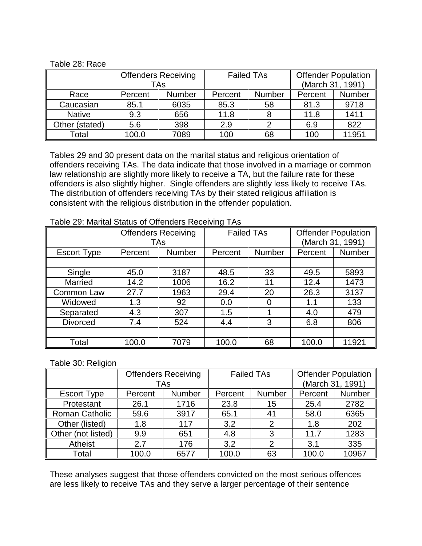#### Table 28: Race

|                |         | <b>Offenders Receiving</b><br>TAs | <b>Failed TAs</b> |               | <b>Offender Population</b><br>(March 31, 1991) |        |
|----------------|---------|-----------------------------------|-------------------|---------------|------------------------------------------------|--------|
| Race           | Percent | <b>Number</b>                     | Percent           | <b>Number</b> | Percent                                        | Number |
| Caucasian      | 85.1    | 6035                              | 85.3              | 58            | 81.3                                           | 9718   |
| <b>Native</b>  | 9.3     | 656                               | 11.8              | 8             | 11.8                                           | 1411   |
| Other (stated) | 5.6     | 398                               | 2.9               |               | 6.9                                            | 822    |
| Total          | 100.0   | 7089                              | 100               | 68            | 100                                            | 11951  |

Tables 29 and 30 present data on the marital status and religious orientation of offenders receiving TAs. The data indicate that those involved in a marriage or common law relationship are slightly more likely to receive a TA, but the failure rate for these offenders is also slightly higher. Single offenders are slightly less likely to receive TAs. The distribution of offenders receiving TAs by their stated religious affiliation is consistent with the religious distribution in the offender population.

|                    |         | <b>Offenders Receiving</b><br><b>TAs</b> |         | <b>Failed TAs</b> |         | <b>Offender Population</b><br>(March 31, 1991) |  |
|--------------------|---------|------------------------------------------|---------|-------------------|---------|------------------------------------------------|--|
| <b>Escort Type</b> | Percent | <b>Number</b>                            | Percent | <b>Number</b>     | Percent | Number                                         |  |
|                    |         |                                          |         |                   |         |                                                |  |
| Single             | 45.0    | 3187                                     | 48.5    | 33                | 49.5    | 5893                                           |  |
| <b>Married</b>     | 14.2    | 1006                                     | 16.2    | 11                | 12.4    | 1473                                           |  |
| Common Law         | 27.7    | 1963                                     | 29.4    | 20                | 26.3    | 3137                                           |  |
| Widowed            | 1.3     | 92                                       | 0.0     | 0                 | 1.1     | 133                                            |  |
| Separated          | 4.3     | 307                                      | 1.5     |                   | 4.0     | 479                                            |  |
| <b>Divorced</b>    | 7.4     | 524                                      | 4.4     | 3                 | 6.8     | 806                                            |  |
|                    |         |                                          |         |                   |         |                                                |  |
| Total              | 100.0   | 7079                                     | 100.0   | 68                | 100.0   | 11921                                          |  |

Table 29: Marital Status of Offenders Receiving TAs

Table 30: Religion

|                    | <b>Offenders Receiving</b><br><b>TAs</b> |               | <b>Failed TAs</b> |        | <b>Offender Population</b><br>(March 31, 1991) |        |
|--------------------|------------------------------------------|---------------|-------------------|--------|------------------------------------------------|--------|
| <b>Escort Type</b> | Percent                                  | <b>Number</b> | Percent           | Number | Percent                                        | Number |
| Protestant         | 26.1                                     | 1716          | 23.8              | 15     | 25.4                                           | 2782   |
| Roman Catholic     | 59.6                                     | 3917          | 65.1              | 41     | 58.0                                           | 6365   |
| Other (listed)     | 1.8                                      | 117           | 3.2               | 2      | 1.8                                            | 202    |
| Other (not listed) | 9.9                                      | 651           | 4.8               | 3      | 11.7                                           | 1283   |
| Atheist            | 2.7                                      | 176           | 3.2               | っ      | 3.1                                            | 335    |
| Total              | 100.0                                    | 6577          | 100.0             | 63     | 100.0                                          | 10967  |

These analyses suggest that those offenders convicted on the most serious offences are less likely to receive TAs and they serve a larger percentage of their sentence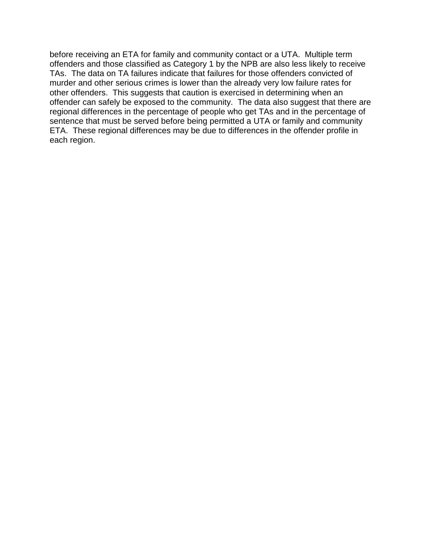before receiving an ETA for family and community contact or a UTA. Multiple term offenders and those classified as Category 1 by the NPB are also less likely to receive TAs. The data on TA failures indicate that failures for those offenders convicted of murder and other serious crimes is lower than the already very low failure rates for other offenders. This suggests that caution is exercised in determining when an offender can safely be exposed to the community. The data also suggest that there are regional differences in the percentage of people who get TAs and in the percentage of sentence that must be served before being permitted a UTA or family and community ETA. These regional differences may be due to differences in the offender profile in each region.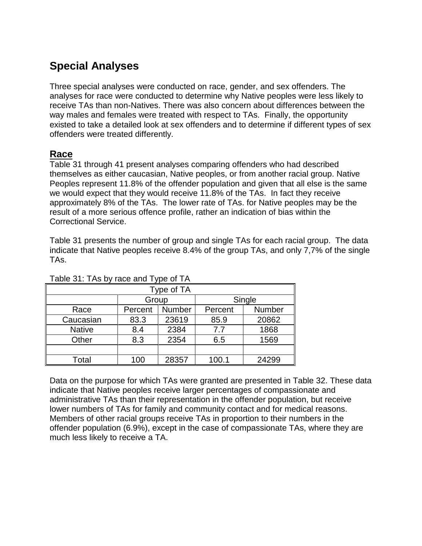# **Special Analyses**

Three special analyses were conducted on race, gender, and sex offenders. The analyses for race were conducted to determine why Native peoples were less likely to receive TAs than non-Natives. There was also concern about differences between the way males and females were treated with respect to TAs. Finally, the opportunity existed to take a detailed look at sex offenders and to determine if different types of sex offenders were treated differently.

## **Race**

Table 31 through 41 present analyses comparing offenders who had described themselves as either caucasian, Native peoples, or from another racial group. Native Peoples represent 11.8% of the offender population and given that all else is the same we would expect that they would receive 11.8% of the TAs. In fact they receive approximately 8% of the TAs. The lower rate of TAs. for Native peoples may be the result of a more serious offence profile, rather an indication of bias within the Correctional Service.

Table 31 presents the number of group and single TAs for each racial group. The data indicate that Native peoples receive 8.4% of the group TAs, and only 7,7% of the single TAs.

|               |         | Type of TA |         |        |  |  |  |
|---------------|---------|------------|---------|--------|--|--|--|
|               | Group   |            |         | Single |  |  |  |
| Race          | Percent | Number     | Percent | Number |  |  |  |
| Caucasian     | 83.3    | 23619      | 85.9    | 20862  |  |  |  |
| <b>Native</b> | 8.4     | 2384       | 7.7     | 1868   |  |  |  |
| Other         | 8.3     | 2354       | 6.5     | 1569   |  |  |  |
|               |         |            |         |        |  |  |  |
| Total         | 100     | 28357      | 100.1   | 24299  |  |  |  |

#### Table 31: TAs by race and Type of TA

Data on the purpose for which TAs were granted are presented in Table 32. These data indicate that Native peoples receive larger percentages of compassionate and administrative TAs than their representation in the offender population, but receive lower numbers of TAs for family and community contact and for medical reasons. Members of other racial groups receive TAs in proportion to their numbers in the offender population (6.9%), except in the case of compassionate TAs, where they are much less likely to receive a TA.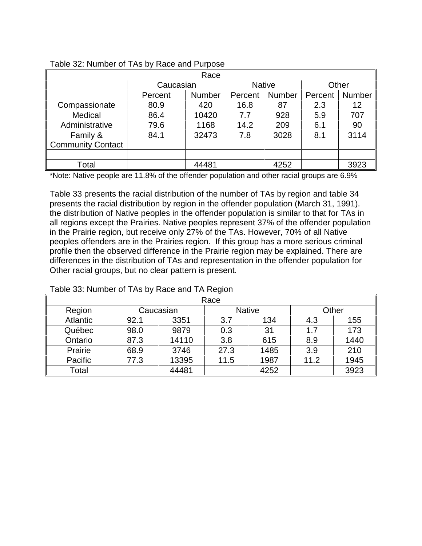| Race                     |           |               |         |               |         |        |  |
|--------------------------|-----------|---------------|---------|---------------|---------|--------|--|
|                          | Caucasian |               |         | <b>Native</b> | Other   |        |  |
|                          | Percent   | <b>Number</b> | Percent | Number        | Percent | Number |  |
| Compassionate            | 80.9      | 420           | 16.8    | 87            | 2.3     | 12     |  |
| Medical                  | 86.4      | 10420         | 7.7     | 928           | 5.9     | 707    |  |
| Administrative           | 79.6      | 1168          | 14.2    | 209           | 6.1     | 90     |  |
| Family &                 | 84.1      | 32473         | 7.8     | 3028          | 8.1     | 3114   |  |
| <b>Community Contact</b> |           |               |         |               |         |        |  |
|                          |           |               |         |               |         |        |  |
| Total                    |           | 44481         |         | 4252          |         | 3923   |  |

#### Table 32: Number of TAs by Race and Purpose

\*Note: Native people are 11.8% of the offender population and other racial groups are 6.9%

Table 33 presents the racial distribution of the number of TAs by region and table 34 presents the racial distribution by region in the offender population (March 31, 1991). the distribution of Native peoples in the offender population is similar to that for TAs in all regions except the Prairies. Native peoples represent 37% of the offender population in the Prairie region, but receive only 27% of the TAs. However, 70% of all Native peoples offenders are in the Prairies region. If this group has a more serious criminal profile then the observed difference in the Prairie region may be explained. There are differences in the distribution of TAs and representation in the offender population for Other racial groups, but no clear pattern is present.

| Race            |      |           |      |               |      |       |  |  |
|-----------------|------|-----------|------|---------------|------|-------|--|--|
| Region          |      | Caucasian |      | <b>Native</b> |      | Other |  |  |
| <b>Atlantic</b> | 92.1 | 3351      | 3.7  | 134           | 4.3  | 155   |  |  |
| Québec          | 98.0 | 9879      | 0.3  | 31            | 1.7  | 173   |  |  |
| Ontario         | 87.3 | 14110     | 3.8  | 615           | 8.9  | 1440  |  |  |
| Prairie         | 68.9 | 3746      | 27.3 | 1485          | 3.9  | 210   |  |  |
| Pacific         | 77.3 | 13395     | 11.5 | 1987          | 11.2 | 1945  |  |  |
| Total           |      | 44481     |      | 4252          |      | 3923  |  |  |

#### Table 33: Number of TAs by Race and TA Region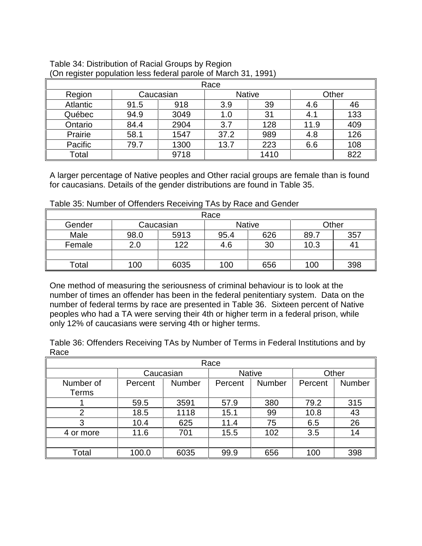| Race            |      |           |      |               |      |       |  |  |
|-----------------|------|-----------|------|---------------|------|-------|--|--|
| Region          |      | Caucasian |      | <b>Native</b> |      | Other |  |  |
| <b>Atlantic</b> | 91.5 | 918       | 3.9  | 39            | 4.6  | 46    |  |  |
| Québec          | 94.9 | 3049      | 1.0  | 31            | 4.1  | 133   |  |  |
| Ontario         | 84.4 | 2904      | 3.7  | 128           | 11.9 | 409   |  |  |
| Prairie         | 58.1 | 1547      | 37.2 | 989           | 4.8  | 126   |  |  |
| Pacific         | 79.7 | 1300      | 13.7 | 223           | 6.6  | 108   |  |  |
| Total           |      | 9718      |      | 1410          |      | 822   |  |  |

| Table 34: Distribution of Racial Groups by Region              |  |
|----------------------------------------------------------------|--|
| (On register population less federal parole of March 31, 1991) |  |

A larger percentage of Native peoples and Other racial groups are female than is found for caucasians. Details of the gender distributions are found in Table 35.

Table 35: Number of Offenders Receiving TAs by Race and Gender

| Race   |                                     |      |      |     |      |     |  |  |
|--------|-------------------------------------|------|------|-----|------|-----|--|--|
| Gender | Other<br><b>Native</b><br>Caucasian |      |      |     |      |     |  |  |
| Male   | 98.0                                | 5913 | 95.4 | 626 | 89.7 | 357 |  |  |
| Female | 2.0                                 | 122  | 4.6  | 30  | 10.3 |     |  |  |
|        |                                     |      |      |     |      |     |  |  |
| Total  | 100                                 | 6035 | 100  | 656 | 100  | 398 |  |  |

One method of measuring the seriousness of criminal behaviour is to look at the number of times an offender has been in the federal penitentiary system. Data on the number of federal terms by race are presented in Table 36. Sixteen percent of Native peoples who had a TA were serving their 4th or higher term in a federal prison, while only 12% of caucasians were serving 4th or higher terms.

Table 36: Offenders Receiving TAs by Number of Terms in Federal Institutions and by Race

| Race               |         |               |               |               |         |               |  |  |
|--------------------|---------|---------------|---------------|---------------|---------|---------------|--|--|
|                    |         | Caucasian     | <b>Native</b> |               | Other   |               |  |  |
| Number of<br>Terms | Percent | <b>Number</b> | Percent       | <b>Number</b> | Percent | <b>Number</b> |  |  |
|                    | 59.5    | 3591          | 57.9          | 380           | 79.2    | 315           |  |  |
| $\overline{2}$     | 18.5    | 1118          | 15.1          | 99            | 10.8    | 43            |  |  |
| 3                  | 10.4    | 625           | 11.4          | 75            | 6.5     | 26            |  |  |
| 4 or more          | 11.6    | 701           | 15.5          | 102           | 3.5     | 14            |  |  |
|                    |         |               |               |               |         |               |  |  |
| Total              | 100.0   | 6035          | 99.9          | 656           | 100     | 398           |  |  |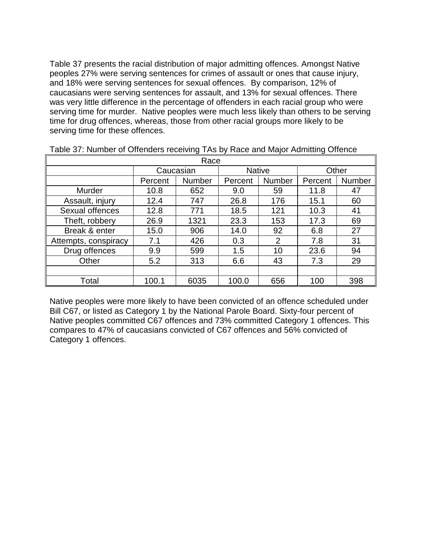Table 37 presents the racial distribution of major admitting offences. Amongst Native peoples 27% were serving sentences for crimes of assault or ones that cause injury, and 18% were serving sentences for sexual offences. By comparison, 12% of caucasians were serving sentences for assault, and 13% for sexual offences. There was very little difference in the percentage of offenders in each racial group who were serving time for murder. Native peoples were much less likely than others to be serving time for drug offences, whereas, those from other racial groups more likely to be serving time for these offences.

| Race                 |         |               |         |               |         |        |  |  |
|----------------------|---------|---------------|---------|---------------|---------|--------|--|--|
|                      |         | Caucasian     |         | <b>Native</b> | Other   |        |  |  |
|                      | Percent | <b>Number</b> | Percent | Number        | Percent | Number |  |  |
| <b>Murder</b>        | 10.8    | 652           | 9.0     | 59            | 11.8    | 47     |  |  |
| Assault, injury      | 12.4    | 747           | 26.8    | 176           | 15.1    | 60     |  |  |
| Sexual offences      | 12.8    | 771           | 18.5    | 121           | 10.3    | 41     |  |  |
| Theft, robbery       | 26.9    | 1321          | 23.3    | 153           | 17.3    | 69     |  |  |
| Break & enter        | 15.0    | 906           | 14.0    | 92            | 6.8     | 27     |  |  |
| Attempts, conspiracy | 7.1     | 426           | 0.3     | 2             | 7.8     | 31     |  |  |
| Drug offences        | 9.9     | 599           | 1.5     | 10            | 23.6    | 94     |  |  |
| Other                | 5.2     | 313           | 6.6     | 43            | 7.3     | 29     |  |  |
|                      |         |               |         |               |         |        |  |  |
| Total                | 100.1   | 6035          | 100.0   | 656           | 100     | 398    |  |  |

Table 37: Number of Offenders receiving TAs by Race and Major Admitting Offence

Native peoples were more likely to have been convicted of an offence scheduled under Bill C67, or listed as Category 1 by the National Parole Board. Sixty-four percent of Native peoples committed C67 offences and 73% committed Category 1 offences. This compares to 47% of caucasians convicted of C67 offences and 56% convicted of Category 1 offences.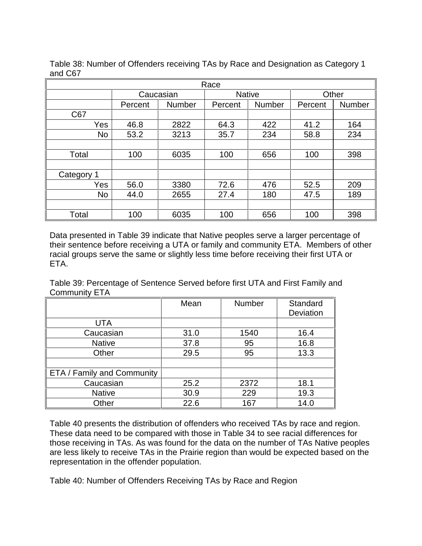| Race      |         |               |         |               |         |               |  |  |
|-----------|---------|---------------|---------|---------------|---------|---------------|--|--|
|           |         | Caucasian     |         | <b>Native</b> |         | Other         |  |  |
|           | Percent | <b>Number</b> | Percent | <b>Number</b> | Percent | <b>Number</b> |  |  |
| C67       |         |               |         |               |         |               |  |  |
| Yes       | 46.8    | 2822          | 64.3    | 422           | 41.2    | 164           |  |  |
| <b>No</b> | 53.2    | 3213          | 35.7    | 234           | 58.8    | 234           |  |  |
|           |         |               |         |               |         |               |  |  |
| Total     | 100     | 6035          | 100     | 656           | 100     | 398           |  |  |
|           |         |               |         |               |         |               |  |  |
| Category  |         |               |         |               |         |               |  |  |
| Yes       | 56.0    | 3380          | 72.6    | 476           | 52.5    | 209           |  |  |
| <b>No</b> | 44.0    | 2655          | 27.4    | 180           | 47.5    | 189           |  |  |
|           |         |               |         |               |         |               |  |  |
| Total     | 100     | 6035          | 100     | 656           | 100     | 398           |  |  |

Table 38: Number of Offenders receiving TAs by Race and Designation as Category 1 and C67

Data presented in Table 39 indicate that Native peoples serve a larger percentage of their sentence before receiving a UTA or family and community ETA. Members of other racial groups serve the same or slightly less time before receiving their first UTA or ETA.

Table 39: Percentage of Sentence Served before first UTA and First Family and Community ETA

|                            | Mean | <b>Number</b> | Standard  |
|----------------------------|------|---------------|-----------|
|                            |      |               | Deviation |
| <b>UTA</b>                 |      |               |           |
| Caucasian                  | 31.0 | 1540          | 16.4      |
| <b>Native</b>              | 37.8 | 95            | 16.8      |
| Other                      | 29.5 | 95            | 13.3      |
|                            |      |               |           |
| ETA / Family and Community |      |               |           |
| Caucasian                  | 25.2 | 2372          | 18.1      |
| <b>Native</b>              | 30.9 | 229           | 19.3      |
| Other                      | 22.6 | 167           | 14.0      |

Table 40 presents the distribution of offenders who received TAs by race and region. These data need to be compared with those in Table 34 to see racial differences for those receiving in TAs. As was found for the data on the number of TAs Native peoples are less likely to receive TAs in the Prairie region than would be expected based on the representation in the offender population.

Table 40: Number of Offenders Receiving TAs by Race and Region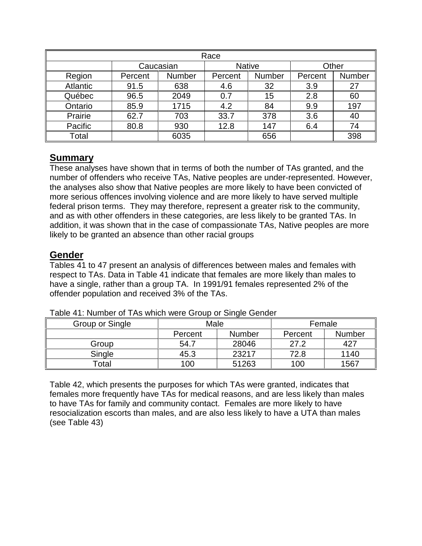| Race     |         |           |         |               |         |        |  |  |  |
|----------|---------|-----------|---------|---------------|---------|--------|--|--|--|
|          |         | Caucasian |         | <b>Native</b> |         | Other  |  |  |  |
| Region   | Percent | Number    | Percent | Number        | Percent | Number |  |  |  |
| Atlantic | 91.5    | 638       | 4.6     | 32            | 3.9     | 27     |  |  |  |
| Québec   | 96.5    | 2049      | 0.7     | 15            | 2.8     | 60     |  |  |  |
| Ontario  | 85.9    | 1715      | 4.2     | 84            | 9.9     | 197    |  |  |  |
| Prairie  | 62.7    | 703       | 33.7    | 378           | 3.6     | 40     |  |  |  |
| Pacific  | 80.8    | 930       | 12.8    | 147           | 6.4     | 74     |  |  |  |
| Total    |         | 6035      |         | 656           |         | 398    |  |  |  |

## **Summary**

These analyses have shown that in terms of both the number of TAs granted, and the number of offenders who receive TAs, Native peoples are under-represented. However, the analyses also show that Native peoples are more likely to have been convicted of more serious offences involving violence and are more likely to have served multiple federal prison terms. They may therefore, represent a greater risk to the community, and as with other offenders in these categories, are less likely to be granted TAs. In addition, it was shown that in the case of compassionate TAs, Native peoples are more likely to be granted an absence than other racial groups

## **Gender**

Tables 41 to 47 present an analysis of differences between males and females with respect to TAs. Data in Table 41 indicate that females are more likely than males to have a single, rather than a group TA. In 1991/91 females represented 2% of the offender population and received 3% of the TAs.

| Group or Single | Male    |               | Female  |               |  |
|-----------------|---------|---------------|---------|---------------|--|
|                 | Percent | <b>Number</b> | Percent | <b>Number</b> |  |
| Group           | 54.7    | 28046         | 27.2    | 427           |  |
| Single          | 45.3    | 23217         | 72.8    | 1140          |  |
| Total           | 100     | 51263         | 100     | 1567          |  |

Table 41: Number of TAs which were Group or Single Gender

Table 42, which presents the purposes for which TAs were granted, indicates that females more frequently have TAs for medical reasons, and are less likely than males to have TAs for family and community contact. Females are more likely to have resocialization escorts than males, and are also less likely to have a UTA than males (see Table 43)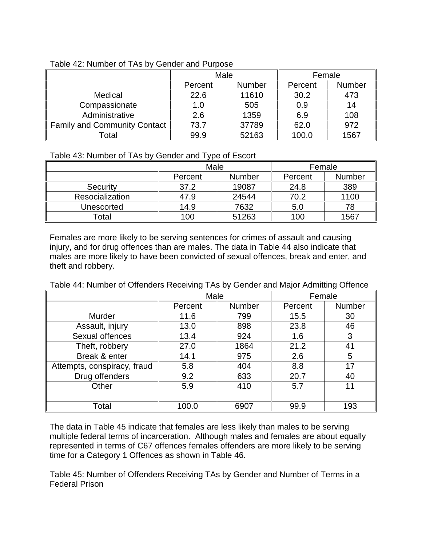|                                     | Male    |               | Female  |        |  |
|-------------------------------------|---------|---------------|---------|--------|--|
|                                     | Percent | <b>Number</b> | Percent | Number |  |
| Medical                             | 22.6    | 11610         | 30.2    | 473    |  |
| Compassionate                       | 1.0     | 505           | 0.9     | 14     |  |
| Administrative                      | 2.6     | 1359          | 6.9     | 108    |  |
| <b>Family and Community Contact</b> | 73.7    | 37789         | 62.0    | 972    |  |
| Гоtal                               | 99.9    | 52163         | 100.0   | 1567   |  |

#### Table 42: Number of TAs by Gender and Purpose

#### Table 43: Number of TAs by Gender and Type of Escort

|                 | Male                     |       | Female  |               |  |
|-----------------|--------------------------|-------|---------|---------------|--|
|                 | <b>Number</b><br>Percent |       | Percent | <b>Number</b> |  |
| Security        | 37.2                     | 19087 | 24.8    | 389           |  |
| Resocialization | 47.9                     | 24544 | 70.2    | 1100          |  |
| Unescorted      | 14.9                     | 7632  | 5.0     | 78            |  |
| Γotal           | 100                      | 51263 | 100     | 1567          |  |

Females are more likely to be serving sentences for crimes of assault and causing injury, and for drug offences than are males. The data in Table 44 also indicate that males are more likely to have been convicted of sexual offences, break and enter, and theft and robbery.

Table 44: Number of Offenders Receiving TAs by Gender and Major Admitting Offence

|                             | Male    |               | Female  |        |  |
|-----------------------------|---------|---------------|---------|--------|--|
|                             | Percent | <b>Number</b> | Percent | Number |  |
| Murder                      | 11.6    | 799           | 15.5    | 30     |  |
| Assault, injury             | 13.0    | 898           | 23.8    | 46     |  |
| Sexual offences             | 13.4    | 924           | 1.6     | 3      |  |
| Theft, robbery              | 27.0    | 1864          | 21.2    | 41     |  |
| Break & enter               | 14.1    | 975           | 2.6     | 5      |  |
| Attempts, conspiracy, fraud | 5.8     | 404           | 8.8     | 17     |  |
| Drug offenders              | 9.2     | 633           | 20.7    | 40     |  |
| Other                       | 5.9     | 410           | 5.7     | 11     |  |
|                             |         |               |         |        |  |
| Total                       | 100.0   | 6907          | 99.9    | 193    |  |

The data in Table 45 indicate that females are less likely than males to be serving multiple federal terms of incarceration. Although males and females are about equally represented in terms of C67 offences females offenders are more likely to be serving time for a Category 1 Offences as shown in Table 46.

Table 45: Number of Offenders Receiving TAs by Gender and Number of Terms in a Federal Prison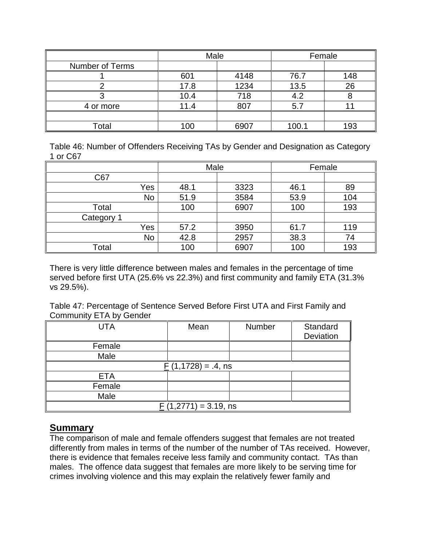|                        | Male |      | Female |     |  |
|------------------------|------|------|--------|-----|--|
| <b>Number of Terms</b> |      |      |        |     |  |
|                        | 601  | 4148 | 76.7   | 148 |  |
|                        | 17.8 | 1234 | 13.5   | 26  |  |
|                        | 10.4 | 718  | 4.2    |     |  |
| 4 or more              | 11.4 | 807  | 5.7    |     |  |
|                        |      |      |        |     |  |
| Total                  | 100  | 6907 | 100.1  | 193 |  |

Table 46: Number of Offenders Receiving TAs by Gender and Designation as Category 1 or C67

|            |     | Male |      | Female |     |
|------------|-----|------|------|--------|-----|
| C67        |     |      |      |        |     |
|            | Yes | 48.1 | 3323 | 46.1   | 89  |
|            | No  | 51.9 | 3584 | 53.9   | 104 |
| Total      |     | 100  | 6907 | 100    | 193 |
| Category 1 |     |      |      |        |     |
|            | Yes | 57.2 | 3950 | 61.7   | 119 |
|            | No  | 42.8 | 2957 | 38.3   | 74  |
| Total      |     | 100  | 6907 | 100    | 193 |

There is very little difference between males and females in the percentage of time served before first UTA (25.6% vs 22.3%) and first community and family ETA (31.3% vs 29.5%).

Table 47: Percentage of Sentence Served Before First UTA and First Family and Community ETA by Gender

| <b>UTA</b>              | Mean                              | Number | Standard<br>Deviation |  |  |
|-------------------------|-----------------------------------|--------|-----------------------|--|--|
| Female                  |                                   |        |                       |  |  |
| Male                    |                                   |        |                       |  |  |
|                         | $\underline{F}$ (1,1728) = .4, ns |        |                       |  |  |
| <b>ETA</b>              |                                   |        |                       |  |  |
| Female                  |                                   |        |                       |  |  |
| Male                    |                                   |        |                       |  |  |
| $F(1,2771) = 3.19$ , ns |                                   |        |                       |  |  |

## **Summary**

The comparison of male and female offenders suggest that females are not treated differently from males in terms of the number of the number of TAs received. However, there is evidence that females receive less family and community contact. TAs than males. The offence data suggest that females are more likely to be serving time for crimes involving violence and this may explain the relatively fewer family and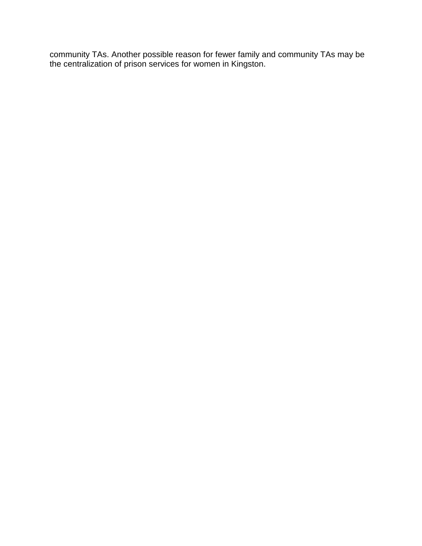community TAs. Another possible reason for fewer family and community TAs may be the centralization of prison services for women in Kingston.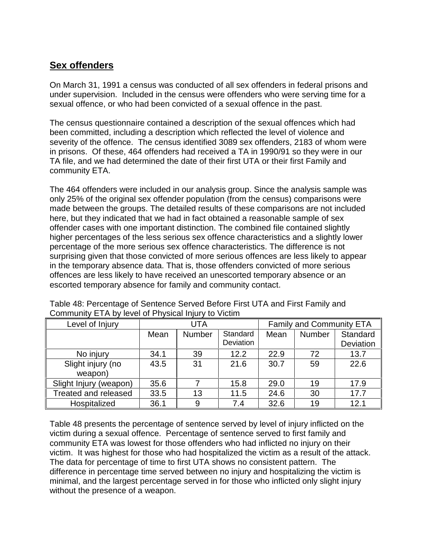## **Sex offenders**

On March 31, 1991 a census was conducted of all sex offenders in federal prisons and under supervision. Included in the census were offenders who were serving time for a sexual offence, or who had been convicted of a sexual offence in the past.

The census questionnaire contained a description of the sexual offences which had been committed, including a description which reflected the level of violence and severity of the offence. The census identified 3089 sex offenders, 2183 of whom were in prisons. Of these, 464 offenders had received a TA in 1990/91 so they were in our TA file, and we had determined the date of their first UTA or their first Family and community ETA.

The 464 offenders were included in our analysis group. Since the analysis sample was only 25% of the original sex offender population (from the census) comparisons were made between the groups. The detailed results of these comparisons are not included here, but they indicated that we had in fact obtained a reasonable sample of sex offender cases with one important distinction. The combined file contained slightly higher percentages of the less serious sex offence characteristics and a slightly lower percentage of the more serious sex offence characteristics. The difference is not surprising given that those convicted of more serious offences are less likely to appear in the temporary absence data. That is, those offenders convicted of more serious offences are less likely to have received an unescorted temporary absence or an escorted temporary absence for family and community contact.

| Level of Injury             | <b>UTA</b> |               |           | <b>Family and Community ETA</b> |               |           |
|-----------------------------|------------|---------------|-----------|---------------------------------|---------------|-----------|
|                             | Mean       | <b>Number</b> | Standard  | Mean                            | <b>Number</b> | Standard  |
|                             |            |               | Deviation |                                 |               | Deviation |
| No injury                   | 34.1       | 39            | 12.2      | 22.9                            | 72            | 13.7      |
| Slight injury (no           | 43.5       | 31            | 21.6      | 30.7                            | 59            | 22.6      |
| weapon)                     |            |               |           |                                 |               |           |
| Slight Injury (weapon)      | 35.6       |               | 15.8      | 29.0                            | 19            | 17.9      |
| <b>Treated and released</b> | 33.5       | 13            | 11.5      | 24.6                            | 30            | 17.7      |
| Hospitalized                | 36.1       | 9             | 7.4       | 32.6                            | 19            | 12.1      |

Table 48: Percentage of Sentence Served Before First UTA and First Family and Community ETA by level of Physical Injury to Victim

Table 48 presents the percentage of sentence served by level of injury inflicted on the victim during a sexual offence. Percentage of sentence served to first family and community ETA was lowest for those offenders who had inflicted no injury on their victim. It was highest for those who had hospitalized the victim as a result of the attack. The data for percentage of time to first UTA shows no consistent pattern. The difference in percentage time served between no injury and hospitalizing the victim is minimal, and the largest percentage served in for those who inflicted only slight injury without the presence of a weapon.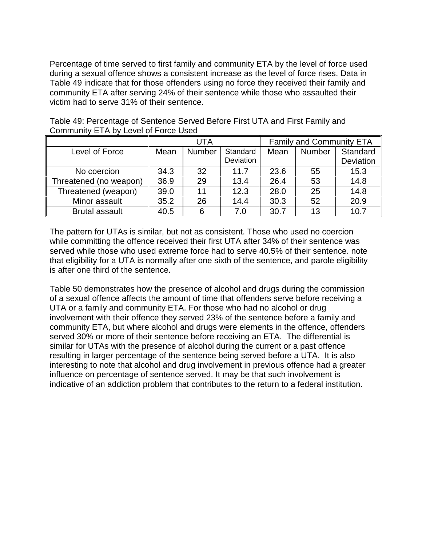Percentage of time served to first family and community ETA by the level of force used during a sexual offence shows a consistent increase as the level of force rises, Data in Table 49 indicate that for those offenders using no force they received their family and community ETA after serving 24% of their sentence while those who assaulted their victim had to serve 31% of their sentence.

|                        | <b>UTA</b> |        |           | <b>Family and Community ETA</b> |               |           |
|------------------------|------------|--------|-----------|---------------------------------|---------------|-----------|
| Level of Force         | Mean       | Number | Standard  | Mean                            | <b>Number</b> | Standard  |
|                        |            |        | Deviation |                                 |               | Deviation |
| No coercion            | 34.3       | 32     | 11.7      | 23.6                            | 55            | 15.3      |
| Threatened (no weapon) | 36.9       | 29     | 13.4      | 26.4                            | 53            | 14.8      |
| Threatened (weapon)    | 39.0       | 11     | 12.3      | 28.0                            | 25            | 14.8      |
| Minor assault          | 35.2       | 26     | 14.4      | 30.3                            | 52            | 20.9      |
| <b>Brutal assault</b>  | 40.5       | 6      | 7.0       | 30.7                            | 13            | 10.7      |

Table 49: Percentage of Sentence Served Before First UTA and First Family and Community ETA by Level of Force Used

The pattern for UTAs is similar, but not as consistent. Those who used no coercion while committing the offence received their first UTA after 34% of their sentence was served while those who used extreme force had to serve 40.5% of their sentence. note that eligibility for a UTA is normally after one sixth of the sentence, and parole eligibility is after one third of the sentence.

Table 50 demonstrates how the presence of alcohol and drugs during the commission of a sexual offence affects the amount of time that offenders serve before receiving a UTA or a family and community ETA. For those who had no alcohol or drug involvement with their offence they served 23% of the sentence before a family and community ETA, but where alcohol and drugs were elements in the offence, offenders served 30% or more of their sentence before receiving an ETA. The differential is similar for UTAs with the presence of alcohol during the current or a past offence resulting in larger percentage of the sentence being served before a UTA. It is also interesting to note that alcohol and drug involvement in previous offence had a greater influence on percentage of sentence served. It may be that such involvement is indicative of an addiction problem that contributes to the return to a federal institution.